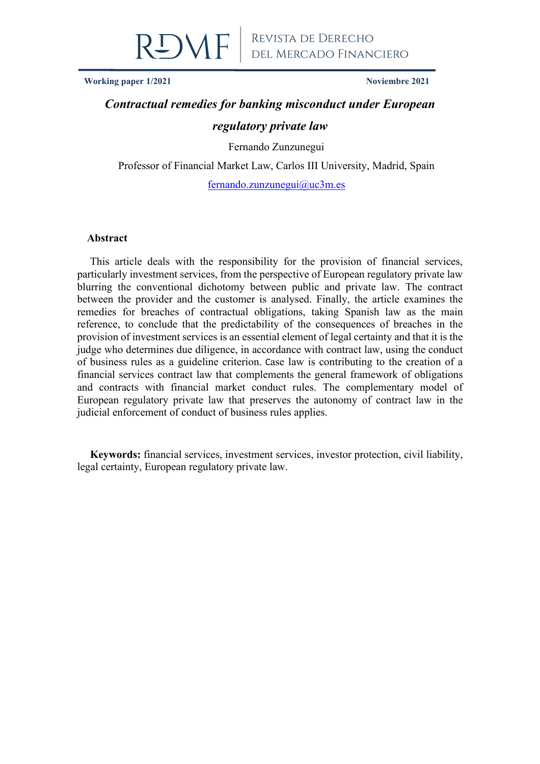

**Working paper 1/2021 Noviembre 2021**

# *Contractual remedies for banking misconduct under European regulatory private law*

Fernando Zunzunegui

Professor of Financial Market Law, Carlos III University, Madrid, Spain

[fernando.zunzunegui@uc3m.es](mailto:fernando.zunzunegui@uc3m.es)

#### **Abstract**

This article deals with the responsibility for the provision of financial services, particularly investment services, from the perspective of European regulatory private law blurring the conventional dichotomy between public and private law. The contract between the provider and the customer is analysed. Finally, the article examines the remedies for breaches of contractual obligations, taking Spanish law as the main reference, to conclude that the predictability of the consequences of breaches in the provision of investment services is an essential element of legal certainty and that it is the judge who determines due diligence, in accordance with contract law, using the conduct of business rules as a guideline criterion. Case law is contributing to the creation of a financial services contract law that complements the general framework of obligations and contracts with financial market conduct rules. The complementary model of European regulatory private law that preserves the autonomy of contract law in the judicial enforcement of conduct of business rules applies.

**Keywords:** financial services, investment services, investor protection, civil liability, legal certainty, European regulatory private law.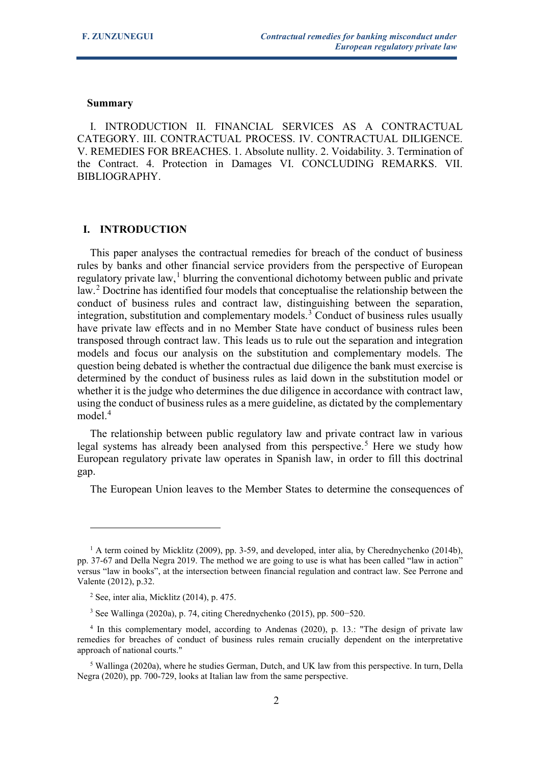#### **Summary**

I. INTRODUCTION II. FINANCIAL SERVICES AS A CONTRACTUAL CATEGORY. III. CONTRACTUAL PROCESS. IV. CONTRACTUAL DILIGENCE. V. REMEDIES FOR BREACHES. 1. Absolute nullity. 2. Voidability. 3. Termination of the Contract. 4. Protection in Damages VI. CONCLUDING REMARKS. VII. BIBLIOGRAPHY.

# **I. INTRODUCTION**

This paper analyses the contractual remedies for breach of the conduct of business rules by banks and other financial service providers from the perspective of European regulatory private law,<sup>[1](#page-1-0)</sup> blurring the conventional dichotomy between public and private law.<sup>[2](#page-1-1)</sup> Doctrine has identified four models that conceptualise the relationship between the conduct of business rules and contract law, distinguishing between the separation, integration, substitution and complementary models.<sup>[3](#page-1-2)</sup> Conduct of business rules usually have private law effects and in no Member State have conduct of business rules been transposed through contract law. This leads us to rule out the separation and integration models and focus our analysis on the substitution and complementary models. The question being debated is whether the contractual due diligence the bank must exercise is determined by the conduct of business rules as laid down in the substitution model or whether it is the judge who determines the due diligence in accordance with contract law, using the conduct of business rules as a mere guideline, as dictated by the complementary model.<sup>[4](#page-1-3)</sup>

The relationship between public regulatory law and private contract law in various legal systems has already been analysed from this perspective.<sup>[5](#page-1-4)</sup> Here we study how European regulatory private law operates in Spanish law, in order to fill this doctrinal gap.

The European Union leaves to the Member States to determine the consequences of

<span id="page-1-0"></span> $<sup>1</sup>$  A term coined by Micklitz (2009), pp. 3-59, and developed, inter alia, by Cherednychenko (2014b),</sup> pp. 37-67 and Della Negra 2019. The method we are going to use is what has been called "law in action" versus "law in books", at the intersection between financial regulation and contract law. See Perrone and Valente (2012), p.32.

 $2$  See, inter alia, Micklitz (2014), p. 475.

<sup>3</sup> See Wallinga (2020a), p. 74, citing Cherednychenko (2015), pp. 500−520.

<span id="page-1-3"></span><span id="page-1-2"></span><span id="page-1-1"></span><sup>4</sup> In this complementary model, according to Andenas (2020), p. 13.: "The design of private law remedies for breaches of conduct of business rules remain crucially dependent on the interpretative approach of national courts."

<span id="page-1-4"></span><sup>5</sup> Wallinga (2020a), where he studies German, Dutch, and UK law from this perspective. In turn, Della Negra (2020), pp. 700-729, looks at Italian law from the same perspective.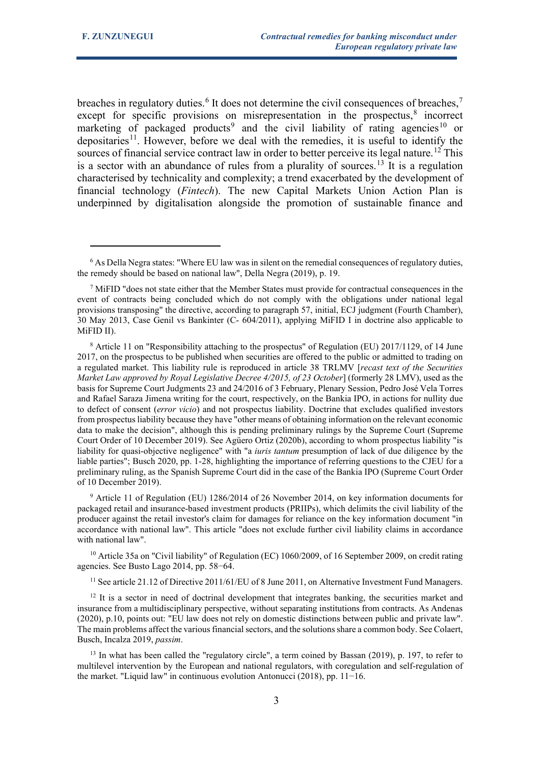breaches in regulatory duties.<sup>[6](#page-2-0)</sup> It does not determine the civil consequences of breaches,<sup>[7](#page-2-1)</sup> except for specific provisions on misrepresentation in the prospectus, $\delta$  incorrect marketing of packaged products<sup>[9](#page-2-3)</sup> and the civil liability of rating agencies<sup>[10](#page-2-4)</sup> or depositaries<sup>[11](#page-2-5)</sup>. However, before we deal with the remedies, it is useful to identify the sources of financial service contract law in order to better perceive its legal nature.<sup>[12](#page-2-6)</sup> This is a sector with an abundance of rules from a plurality of sources.<sup>[13](#page-2-7)</sup> It is a regulation characterised by technicality and complexity; a trend exacerbated by the development of financial technology (*Fintech*). The new Capital Markets Union Action Plan is underpinned by digitalisation alongside the promotion of sustainable finance and

<span id="page-2-4"></span><sup>10</sup> Article 35a on "Civil liability" of Regulation (EC) 1060/2009, of 16 September 2009, on credit rating agencies. See Busto Lago 2014, pp. 58−64.

<sup>11</sup> See article 21.12 of Directive 2011/61/EU of 8 June 2011, on Alternative Investment Fund Managers.

<span id="page-2-6"></span><span id="page-2-5"></span> $12$  It is a sector in need of doctrinal development that integrates banking, the securities market and insurance from a multidisciplinary perspective, without separating institutions from contracts. As Andenas (2020), p.10, points out: "EU law does not rely on domestic distinctions between public and private law". The main problems affect the various financial sectors, and the solutions share a common body. See Colaert, Busch, Incalza 2019, *passim*.

<span id="page-2-7"></span><sup>13</sup> In what has been called the "regulatory circle", a term coined by Bassan (2019), p. 197, to refer to multilevel intervention by the European and national regulators, with coregulation and self-regulation of the market. "Liquid law" in continuous evolution Antonucci (2018), pp. 11−16.

<span id="page-2-0"></span> $6$  As Della Negra states: "Where EU law was in silent on the remedial consequences of regulatory duties, the remedy should be based on national law", Della Negra (2019), p. 19.

<span id="page-2-1"></span><sup>7</sup> MiFID "does not state either that the Member States must provide for contractual consequences in the event of contracts being concluded which do not comply with the obligations under national legal provisions transposing" the directive, according to paragraph 57, initial, ECJ judgment (Fourth Chamber), 30 May 2013, Case Genil vs Bankinter (C- 604/2011), applying MiFID I in doctrine also applicable to MiFID II).

<span id="page-2-2"></span><sup>8</sup> Article 11 on "Responsibility attaching to the prospectus" of Regulation (EU) 2017/1129, of 14 June 2017, on the prospectus to be published when securities are offered to the public or admitted to trading on a regulated market. This liability rule is reproduced in article 38 TRLMV [*recast text of the Securities Market Law approved by Royal Legislative Decree 4/2015, of 23 October*] (formerly 28 LMV), used as the basis for Supreme Court Judgments 23 and 24/2016 of 3 February, Plenary Session, Pedro José Vela Torres and Rafael Saraza Jimena writing for the court, respectively, on the Bankia IPO, in actions for nullity due to defect of consent (*error vicio*) and not prospectus liability. Doctrine that excludes qualified investors from prospectus liability because they have "other means of obtaining information on the relevant economic data to make the decision", although this is pending preliminary rulings by the Supreme Court (Supreme Court Order of 10 December 2019). See Agüero Ortiz (2020b), according to whom prospectus liability "is liability for quasi-objective negligence" with "a *iuris tantum* presumption of lack of due diligence by the liable parties"; Busch 2020, pp. 1-28, highlighting the importance of referring questions to the CJEU for a preliminary ruling, as the Spanish Supreme Court did in the case of the Bankia IPO (Supreme Court Order of 10 December 2019).

<span id="page-2-3"></span><sup>9</sup> Article 11 of Regulation (EU) 1286/2014 of 26 November 2014, on key information documents for packaged retail and insurance-based investment products (PRIIPs), which delimits the civil liability of the producer against the retail investor's claim for damages for reliance on the key information document "in accordance with national law". This article "does not exclude further civil liability claims in accordance with national law".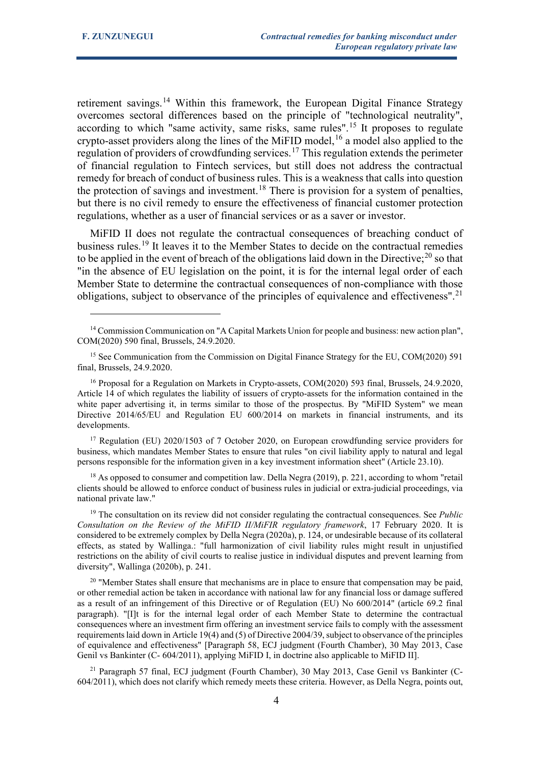retirement savings.<sup>[14](#page-3-0)</sup> Within this framework, the European Digital Finance Strategy overcomes sectoral differences based on the principle of "technological neutrality", according to which "same activity, same risks, same rules".[15](#page-3-1) It proposes to regulate crypto-asset providers along the lines of the MiFID model,  $16$  a model also applied to the regulation of providers of crowdfunding services.<sup>[17](#page-3-3)</sup> This regulation extends the perimeter of financial regulation to Fintech services, but still does not address the contractual remedy for breach of conduct of business rules. This is a weakness that calls into question the protection of savings and investment.<sup>[18](#page-3-4)</sup> There is provision for a system of penalties, but there is no civil remedy to ensure the effectiveness of financial customer protection regulations, whether as a user of financial services or as a saver or investor.

MiFID II does not regulate the contractual consequences of breaching conduct of business rules.[19](#page-3-5) It leaves it to the Member States to decide on the contractual remedies to be applied in the event of breach of the obligations laid down in the Directive; $^{20}$  $^{20}$  $^{20}$  so that "in the absence of EU legislation on the point, it is for the internal legal order of each Member State to determine the contractual consequences of non-compliance with those obligations, subject to observance of the principles of equivalence and effectiveness".<sup>[21](#page-3-7)</sup>

<span id="page-3-3"></span><sup>17</sup> Regulation (EU) 2020/1503 of 7 October 2020, on European crowdfunding service providers for business, which mandates Member States to ensure that rules "on civil liability apply to natural and legal persons responsible for the information given in a key investment information sheet" (Article 23.10).

<span id="page-3-4"></span><sup>18</sup> As opposed to consumer and competition law. Della Negra (2019), p. 221, according to whom "retail clients should be allowed to enforce conduct of business rules in judicial or extra-judicial proceedings, via national private law."

<span id="page-3-5"></span><sup>19</sup> The consultation on its review did not consider regulating the contractual consequences. See *Public Consultation on the Review of the MiFID II/MiFIR regulatory framework*, 17 February 2020. It is considered to be extremely complex by Della Negra (2020a), p. 124, or undesirable because of its collateral effects, as stated by Wallinga.: "full harmonization of civil liability rules might result in unjustified restrictions on the ability of civil courts to realise justice in individual disputes and prevent learning from diversity", Wallinga (2020b), p. 241.

<span id="page-3-6"></span> $20$  "Member States shall ensure that mechanisms are in place to ensure that compensation may be paid, or other remedial action be taken in accordance with national law for any financial loss or damage suffered as a result of an infringement of this Directive or of Regulation (EU) No 600/2014" (article 69.2 final paragraph). "[I]t is for the internal legal order of each Member State to determine the contractual consequences where an investment firm offering an investment service fails to comply with the assessment requirements laid down in Article 19(4) and (5) of Directive 2004/39, subject to observance of the principles of equivalence and effectiveness" [Paragraph 58, ECJ judgment (Fourth Chamber), 30 May 2013, Case Genil vs Bankinter (C- 604/2011), applying MiFID I, in doctrine also applicable to MiFID II].

<span id="page-3-7"></span> $21$  Paragraph 57 final, ECJ judgment (Fourth Chamber), 30 May 2013, Case Genil vs Bankinter (C-604/2011), which does not clarify which remedy meets these criteria. However, as Della Negra, points out,

<span id="page-3-0"></span><sup>&</sup>lt;sup>14</sup> Commission Communication on "A Capital Markets Union for people and business: new action plan", COM(2020) 590 final, Brussels, 24.9.2020.

<span id="page-3-1"></span><sup>&</sup>lt;sup>15</sup> See Communication from the Commission on Digital Finance Strategy for the EU, COM(2020) 591 final, Brussels, 24.9.2020.

<span id="page-3-2"></span><sup>&</sup>lt;sup>16</sup> Proposal for a Regulation on Markets in Crypto-assets, COM(2020) 593 final, Brussels, 24.9.2020, Article 14 of which regulates the liability of issuers of crypto-assets for the information contained in the white paper advertising it, in terms similar to those of the prospectus. By "MiFID System" we mean Directive 2014/65/EU and Regulation EU 600/2014 on markets in financial instruments, and its developments.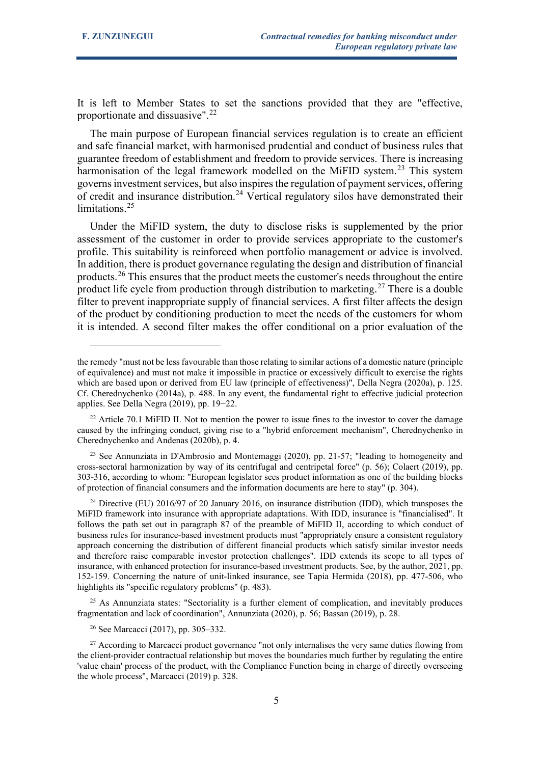It is left to Member States to set the sanctions provided that they are "effective, proportionate and dissuasive".[22](#page-4-0)

The main purpose of European financial services regulation is to create an efficient and safe financial market, with harmonised prudential and conduct of business rules that guarantee freedom of establishment and freedom to provide services. There is increasing harmonisation of the legal framework modelled on the MiFID system.<sup>[23](#page-4-1)</sup> This system governs investment services, but also inspires the regulation of payment services, offering of credit and insurance distribution.<sup>[24](#page-4-2)</sup> Vertical regulatory silos have demonstrated their limitations.<sup>[25](#page-4-3)</sup>

Under the MiFID system, the duty to disclose risks is supplemented by the prior assessment of the customer in order to provide services appropriate to the customer's profile. This suitability is reinforced when portfolio management or advice is involved. In addition, there is product governance regulating the design and distribution of financial products.[26](#page-4-4) This ensures that the product meets the customer's needs throughout the entire product life cycle from production through distribution to marketing.<sup>[27](#page-4-5)</sup> There is a double filter to prevent inappropriate supply of financial services. A first filter affects the design of the product by conditioning production to meet the needs of the customers for whom it is intended. A second filter makes the offer conditional on a prior evaluation of the

<span id="page-4-1"></span><sup>23</sup> See Annunziata in D'Ambrosio and Montemaggi (2020), pp. 21-57; "leading to homogeneity and cross-sectoral harmonization by way of its centrifugal and centripetal force" (p. 56); Colaert (2019), pp. 303-316, according to whom: "European legislator sees product information as one of the building blocks of protection of financial consumers and the information documents are here to stay" (p. 304).

<span id="page-4-2"></span><sup>24</sup> Directive (EU) 2016/97 of 20 January 2016, on insurance distribution (IDD), which transposes the MiFID framework into insurance with appropriate adaptations. With IDD, insurance is "financialised". It follows the path set out in paragraph 87 of the preamble of MiFID II, according to which conduct of business rules for insurance-based investment products must "appropriately ensure a consistent regulatory approach concerning the distribution of different financial products which satisfy similar investor needs and therefore raise comparable investor protection challenges". IDD extends its scope to all types of insurance, with enhanced protection for insurance-based investment products. See, by the author, 2021, pp. 152-159. Concerning the nature of unit-linked insurance, see Tapia Hermida (2018), pp. 477-506, who highlights its "specific regulatory problems" (p. 483).

<span id="page-4-3"></span> $25$  As Annunziata states: "Sectoriality is a further element of complication, and inevitably produces fragmentation and lack of coordination", Annunziata (2020), p. 56; Bassan (2019), p. 28.

<sup>26</sup> See Marcacci (2017), pp. 305–332.

the remedy "must not be less favourable than those relating to similar actions of a domestic nature (principle of equivalence) and must not make it impossible in practice or excessively difficult to exercise the rights which are based upon or derived from EU law (principle of effectiveness)", Della Negra (2020a), p. 125. Cf. Cherednychenko (2014a), p. 488. In any event, the fundamental right to effective judicial protection applies. See Della Negra (2019), pp. 19−22.

<span id="page-4-0"></span> $22$  Article 70.1 MiFID II. Not to mention the power to issue fines to the investor to cover the damage caused by the infringing conduct, giving rise to a "hybrid enforcement mechanism", Cherednychenko in Cherednychenko and Andenas (2020b), p. 4.

<span id="page-4-5"></span><span id="page-4-4"></span><sup>&</sup>lt;sup>27</sup> According to Marcacci product governance "not only internalises the very same duties flowing from the client-provider contractual relationship but moves the boundaries much further by regulating the entire 'value chain' process of the product, with the Compliance Function being in charge of directly overseeing the whole process", Marcacci (2019) p. 328.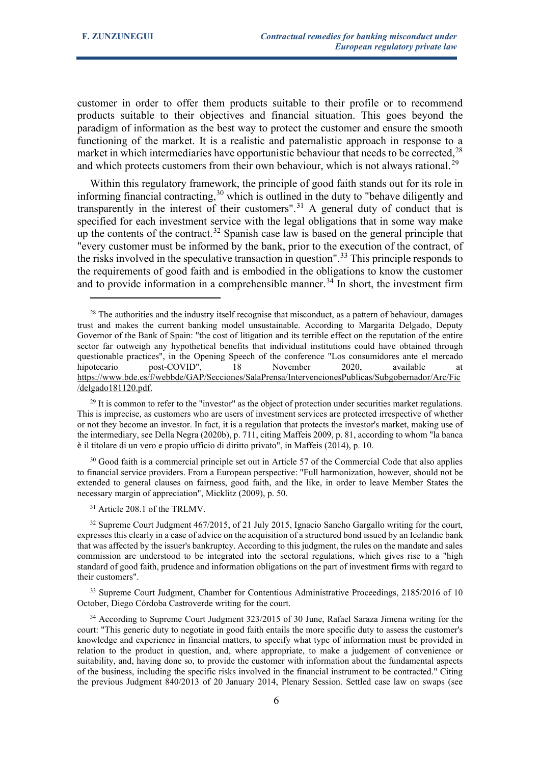customer in order to offer them products suitable to their profile or to recommend products suitable to their objectives and financial situation. This goes beyond the paradigm of information as the best way to protect the customer and ensure the smooth functioning of the market. It is a realistic and paternalistic approach in response to a market in which intermediaries have opportunistic behaviour that needs to be corrected,  $28$ and which protects customers from their own behaviour, which is not always rational.<sup>[29](#page-5-1)</sup>

Within this regulatory framework, the principle of good faith stands out for its role in informing financial contracting,<sup>[30](#page-5-2)</sup> which is outlined in the duty to "behave diligently and transparently in the interest of their customers".[31](#page-5-3) A general duty of conduct that is specified for each investment service with the legal obligations that in some way make up the contents of the contract.<sup>[32](#page-5-4)</sup> Spanish case law is based on the general principle that "every customer must be informed by the bank, prior to the execution of the contract, of the risks involved in the speculative transaction in question".<sup>[33](#page-5-5)</sup> This principle responds to the requirements of good faith and is embodied in the obligations to know the customer and to provide information in a comprehensible manner.<sup>[34](#page-5-6)</sup> In short, the investment firm

<span id="page-5-2"></span><sup>30</sup> Good faith is a commercial principle set out in Article 57 of the Commercial Code that also applies to financial service providers. From a European perspective: "Full harmonization, however, should not be extended to general clauses on fairness, good faith, and the like, in order to leave Member States the necessary margin of appreciation", Micklitz (2009), p. 50.

#### <sup>31</sup> Article 208.1 of the TRLMV.

<span id="page-5-4"></span><span id="page-5-3"></span><sup>32</sup> Supreme Court Judgment 467/2015, of 21 July 2015, Ignacio Sancho Gargallo writing for the court, expresses this clearly in a case of advice on the acquisition of a structured bond issued by an Icelandic bank that was affected by the issuer's bankruptcy. According to this judgment, the rules on the mandate and sales commission are understood to be integrated into the sectoral regulations, which gives rise to a "high standard of good faith, prudence and information obligations on the part of investment firms with regard to their customers".

<span id="page-5-5"></span><sup>33</sup> Supreme Court Judgment, Chamber for Contentious Administrative Proceedings, 2185/2016 of 10 October, Diego Córdoba Castroverde writing for the court.

<span id="page-5-6"></span><sup>34</sup> According to Supreme Court Judgment 323/2015 of 30 June, Rafael Saraza Jimena writing for the court: "This generic duty to negotiate in good faith entails the more specific duty to assess the customer's knowledge and experience in financial matters, to specify what type of information must be provided in relation to the product in question, and, where appropriate, to make a judgement of convenience or suitability, and, having done so, to provide the customer with information about the fundamental aspects of the business, including the specific risks involved in the financial instrument to be contracted." Citing the previous Judgment 840/2013 of 20 January 2014, Plenary Session. Settled case law on swaps (see

<span id="page-5-0"></span> $2<sup>8</sup>$  The authorities and the industry itself recognise that misconduct, as a pattern of behaviour, damages trust and makes the current banking model unsustainable. According to Margarita Delgado, Deputy Governor of the Bank of Spain: "the cost of litigation and its terrible effect on the reputation of the entire sector far outweigh any hypothetical benefits that individual institutions could have obtained through questionable practices", in the Opening Speech of the conference "Los consumidores ante el mercado hipotecario post-COVID", 18 November 2020, available at [https://www.bde.es/f/webbde/GAP/Secciones/SalaPrensa/IntervencionesPublicas/Subgobernador/Arc/Fic](https://www.bde.es/f/webbde/GAP/Secciones/SalaPrensa/IntervencionesPublicas/Subgobernador/Arc/Fic/delgado181120.pdf) [/delgado181120.pdf.](https://www.bde.es/f/webbde/GAP/Secciones/SalaPrensa/IntervencionesPublicas/Subgobernador/Arc/Fic/delgado181120.pdf)

<span id="page-5-1"></span> $29$  It is common to refer to the "investor" as the object of protection under securities market regulations. This is imprecise, as customers who are users of investment services are protected irrespective of whether or not they become an investor. In fact, it is a regulation that protects the investor's market, making use of the intermediary, see Della Negra (2020b), p. 711, citing Maffeis 2009, p. 81, according to whom "la banca è il titolare di un vero e propio ufficio di diritto privato", in Maffeis (2014), p. 10.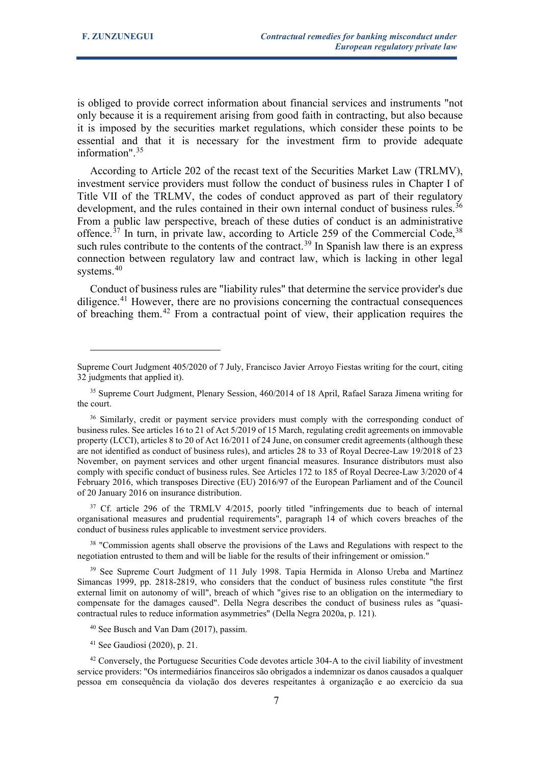is obliged to provide correct information about financial services and instruments "not only because it is a requirement arising from good faith in contracting, but also because it is imposed by the securities market regulations, which consider these points to be essential and that it is necessary for the investment firm to provide adequate information".[35](#page-6-0)

According to Article 202 of the recast text of the Securities Market Law (TRLMV), investment service providers must follow the conduct of business rules in Chapter I of Title VII of the TRLMV, the codes of conduct approved as part of their regulatory development, and the rules contained in their own internal conduct of business rules.<sup>[36](#page-6-1)</sup> From a public law perspective, breach of these duties of conduct is an administrative offence.<sup>[37](#page-6-2)</sup> In turn, in private law, according to Article 259 of the Commercial Code,  $38$ such rules contribute to the contents of the contract.<sup>[39](#page-6-4)</sup> In Spanish law there is an express connection between regulatory law and contract law, which is lacking in other legal systems.<sup>[40](#page-6-5)</sup>

Conduct of business rules are "liability rules" that determine the service provider's due diligence.<sup>[41](#page-6-6)</sup> However, there are no provisions concerning the contractual consequences of breaching them.[42](#page-6-7) From a contractual point of view, their application requires the

<span id="page-6-2"></span><sup>37</sup> Cf. article 296 of the TRMLV 4/2015, poorly titled "infringements due to beach of internal organisational measures and prudential requirements", paragraph 14 of which covers breaches of the conduct of business rules applicable to investment service providers.

<span id="page-6-3"></span><sup>38</sup> "Commission agents shall observe the provisions of the Laws and Regulations with respect to the negotiation entrusted to them and will be liable for the results of their infringement or omission."

<span id="page-6-4"></span><sup>39</sup> See Supreme Court Judgment of 11 July 1998. Tapia Hermida in Alonso Ureba and Martínez Simancas 1999, pp. 2818-2819, who considers that the conduct of business rules constitute "the first external limit on autonomy of will", breach of which "gives rise to an obligation on the intermediary to compensate for the damages caused". Della Negra describes the conduct of business rules as "quasicontractual rules to reduce information asymmetries" (Della Negra 2020a, p. 121).

<sup>40</sup> See Busch and Van Dam (2017), passim.

<sup>41</sup> See Gaudiosi (2020), p. 21.

<span id="page-6-7"></span><span id="page-6-6"></span><span id="page-6-5"></span><sup>42</sup> Conversely, the Portuguese Securities Code devotes article 304-A to the civil liability of investment service providers: "Os intermediários financeiros são obrigados a indemnizar os danos causados a qualquer pessoa em consequência da violação dos deveres respeitantes à organização e ao exercício da sua

Supreme Court Judgment 405/2020 of 7 July, Francisco Javier Arroyo Fiestas writing for the court, citing 32 judgments that applied it).

<span id="page-6-0"></span><sup>&</sup>lt;sup>35</sup> Supreme Court Judgment, Plenary Session, 460/2014 of 18 April, Rafael Saraza Jimena writing for the court.

<span id="page-6-1"></span><sup>&</sup>lt;sup>36</sup> Similarly, credit or payment service providers must comply with the corresponding conduct of business rules. See articles 16 to 21 of Act 5/2019 of 15 March, regulating credit agreements on immovable property (LCCI), articles 8 to 20 of Act 16/2011 of 24 June, on consumer credit agreements (although these are not identified as conduct of business rules), and articles 28 to 33 of Royal Decree-Law 19/2018 of 23 November, on payment services and other urgent financial measures. Insurance distributors must also comply with specific conduct of business rules. See Articles 172 to 185 of Royal Decree-Law 3/2020 of 4 February 2016, which transposes Directive (EU) 2016/97 of the European Parliament and of the Council of 20 January 2016 on insurance distribution.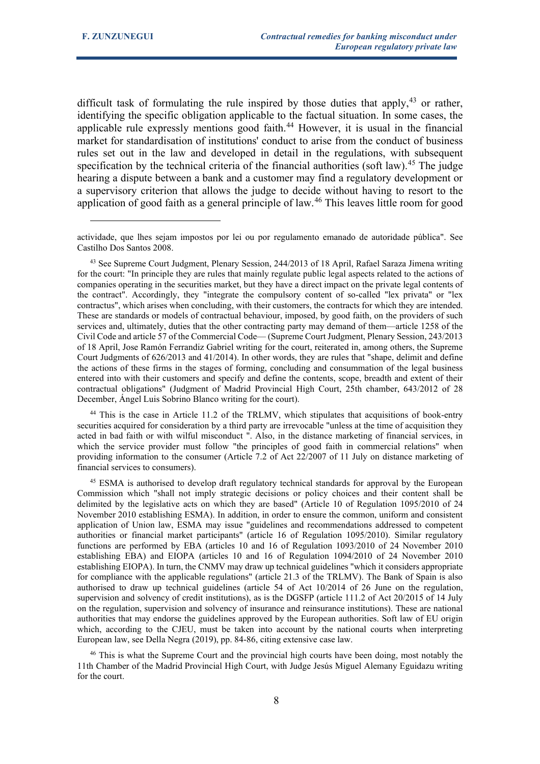difficult task of formulating the rule inspired by those duties that apply,  $43$  or rather, identifying the specific obligation applicable to the factual situation. In some cases, the applicable rule expressly mentions good faith. $44$  However, it is usual in the financial market for standardisation of institutions' conduct to arise from the conduct of business rules set out in the law and developed in detail in the regulations, with subsequent specification by the technical criteria of the financial authorities (soft law).<sup>[45](#page-7-2)</sup> The judge hearing a dispute between a bank and a customer may find a regulatory development or a supervisory criterion that allows the judge to decide without having to resort to the application of good faith as a general principle of law.<sup>[46](#page-7-3)</sup> This leaves little room for good

<span id="page-7-1"></span><sup>44</sup> This is the case in Article 11.2 of the TRLMV, which stipulates that acquisitions of book-entry securities acquired for consideration by a third party are irrevocable "unless at the time of acquisition they acted in bad faith or with wilful misconduct ". Also, in the distance marketing of financial services, in which the service provider must follow "the principles of good faith in commercial relations" when providing information to the consumer (Article 7.2 of Act 22/2007 of 11 July on distance marketing of financial services to consumers).

<span id="page-7-2"></span><sup>45</sup> ESMA is authorised to develop draft regulatory technical standards for approval by the European Commission which "shall not imply strategic decisions or policy choices and their content shall be delimited by the legislative acts on which they are based" (Article 10 of Regulation 1095/2010 of 24 November 2010 establishing ESMA). In addition, in order to ensure the common, uniform and consistent application of Union law, ESMA may issue "guidelines and recommendations addressed to competent authorities or financial market participants" (article 16 of Regulation 1095/2010). Similar regulatory functions are performed by EBA (articles 10 and 16 of Regulation 1093/2010 of 24 November 2010 establishing EBA) and EIOPA (articles 10 and 16 of Regulation 1094/2010 of 24 November 2010 establishing EIOPA). In turn, the CNMV may draw up technical guidelines "which it considers appropriate for compliance with the applicable regulations" (article 21.3 of the TRLMV). The Bank of Spain is also authorised to draw up technical guidelines (article 54 of Act 10/2014 of 26 June on the regulation, supervision and solvency of credit institutions), as is the DGSFP (article 111.2 of Act 20/2015 of 14 July on the regulation, supervision and solvency of insurance and reinsurance institutions). These are national authorities that may endorse the guidelines approved by the European authorities. Soft law of EU origin which, according to the CJEU, must be taken into account by the national courts when interpreting European law, see Della Negra (2019), pp. 84-86, citing extensive case law.

<span id="page-7-3"></span><sup>46</sup> This is what the Supreme Court and the provincial high courts have been doing, most notably the 11th Chamber of the Madrid Provincial High Court, with Judge Jesús Miguel Alemany Eguidazu writing for the court.

actividade, que lhes sejam impostos por lei ou por regulamento emanado de autoridade pública". See Castilho Dos Santos 2008.

<span id="page-7-0"></span><sup>&</sup>lt;sup>43</sup> See Supreme Court Judgment, Plenary Session, 244/2013 of 18 April, Rafael Saraza Jimena writing for the court: "In principle they are rules that mainly regulate public legal aspects related to the actions of companies operating in the securities market, but they have a direct impact on the private legal contents of the contract". Accordingly, they "integrate the compulsory content of so-called "lex privata" or "lex contractus", which arises when concluding, with their customers, the contracts for which they are intended. These are standards or models of contractual behaviour, imposed, by good faith, on the providers of such services and, ultimately, duties that the other contracting party may demand of them—article 1258 of the Civil Code and article 57 of the Commercial Code— (Supreme Court Judgment, Plenary Session, 243/2013 of 18 April, Jose Ramón Ferrandiz Gabriel writing for the court, reiterated in, among others, the Supreme Court Judgments of 626/2013 and 41/2014). In other words, they are rules that "shape, delimit and define the actions of these firms in the stages of forming, concluding and consummation of the legal business entered into with their customers and specify and define the contents, scope, breadth and extent of their contractual obligations" (Judgment of Madrid Provincial High Court, 25th chamber, 643/2012 of 28 December, Ángel Luis Sobrino Blanco writing for the court).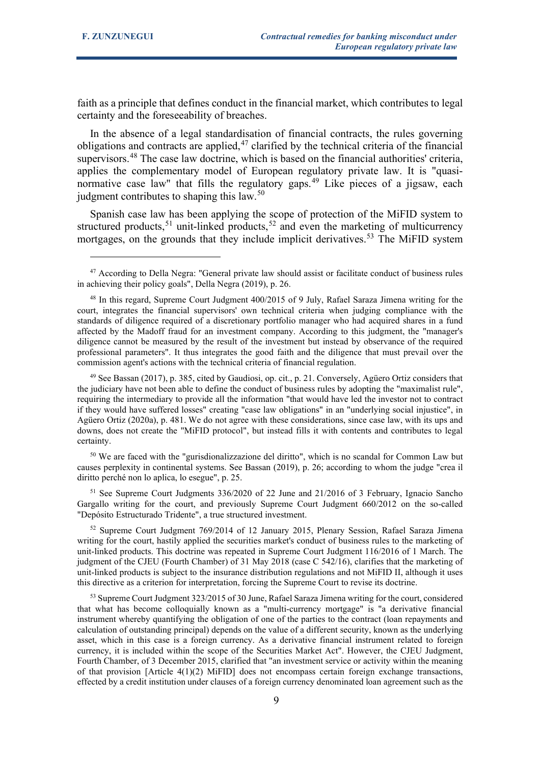faith as a principle that defines conduct in the financial market, which contributes to legal certainty and the foreseeability of breaches.

In the absence of a legal standardisation of financial contracts, the rules governing obligations and contracts are applied, $47$  clarified by the technical criteria of the financial supervisors.<sup>[48](#page-8-1)</sup> The case law doctrine, which is based on the financial authorities' criteria, applies the complementary model of European regulatory private law. It is "quasi-normative case law" that fills the regulatory gaps.<sup>[49](#page-8-2)</sup> Like pieces of a jigsaw, each judgment contributes to shaping this law.<sup>[50](#page-8-3)</sup>

Spanish case law has been applying the scope of protection of the MiFID system to structured products,<sup>[51](#page-8-4)</sup> unit-linked products,<sup>[52](#page-8-5)</sup> and even the marketing of multicurrency mortgages, on the grounds that they include implicit derivatives.<sup>[53](#page-8-6)</sup> The MiFID system

<span id="page-8-2"></span><sup>49</sup> See Bassan (2017), p. 385, cited by Gaudiosi, op. cit., p. 21. Conversely, Agüero Ortiz considers that the judiciary have not been able to define the conduct of business rules by adopting the "maximalist rule", requiring the intermediary to provide all the information "that would have led the investor not to contract if they would have suffered losses" creating "case law obligations" in an "underlying social injustice", in Agüero Ortiz (2020a), p. 481. We do not agree with these considerations, since case law, with its ups and downs, does not create the "MiFID protocol", but instead fills it with contents and contributes to legal certainty.

<span id="page-8-3"></span><sup>50</sup> We are faced with the "gurisdionalizzazione del diritto", which is no scandal for Common Law but causes perplexity in continental systems. See Bassan (2019), p. 26; according to whom the judge "crea il diritto perché non lo aplica, lo esegue", p. 25.

<span id="page-8-4"></span><sup>51</sup> See Supreme Court Judgments 336/2020 of 22 June and 21/2016 of 3 February, Ignacio Sancho Gargallo writing for the court, and previously Supreme Court Judgment 660/2012 on the so-called "Depósito Estructurado Tridente", a true structured investment.

<span id="page-8-5"></span><sup>52</sup> Supreme Court Judgment 769/2014 of 12 January 2015, Plenary Session, Rafael Saraza Jimena writing for the court, hastily applied the securities market's conduct of business rules to the marketing of unit-linked products. This doctrine was repeated in Supreme Court Judgment 116/2016 of 1 March. The judgment of the CJEU (Fourth Chamber) of 31 May 2018 (case C 542/16), clarifies that the marketing of unit-linked products is subject to the insurance distribution regulations and not MiFID II, although it uses this directive as a criterion for interpretation, forcing the Supreme Court to revise its doctrine.

<span id="page-8-6"></span><sup>53</sup> Supreme Court Judgment 323/2015 of 30 June, Rafael Saraza Jimena writing for the court, considered that what has become colloquially known as a "multi-currency mortgage" is "a derivative financial instrument whereby quantifying the obligation of one of the parties to the contract (loan repayments and calculation of outstanding principal) depends on the value of a different security, known as the underlying asset, which in this case is a foreign currency. As a derivative financial instrument related to foreign currency, it is included within the scope of the Securities Market Act". However, the CJEU Judgment, Fourth Chamber, of 3 December 2015, clarified that "an investment service or activity within the meaning of that provision [Article  $4(1)(2)$  MiFID] does not encompass certain foreign exchange transactions, effected by a credit institution under clauses of a foreign currency denominated loan agreement such as the

<span id="page-8-0"></span><sup>&</sup>lt;sup>47</sup> According to Della Negra: "General private law should assist or facilitate conduct of business rules in achieving their policy goals", Della Negra (2019), p. 26.

<span id="page-8-1"></span><sup>48</sup> In this regard, Supreme Court Judgment 400/2015 of 9 July, Rafael Saraza Jimena writing for the court, integrates the financial supervisors' own technical criteria when judging compliance with the standards of diligence required of a discretionary portfolio manager who had acquired shares in a fund affected by the Madoff fraud for an investment company. According to this judgment, the "manager's diligence cannot be measured by the result of the investment but instead by observance of the required professional parameters". It thus integrates the good faith and the diligence that must prevail over the commission agent's actions with the technical criteria of financial regulation.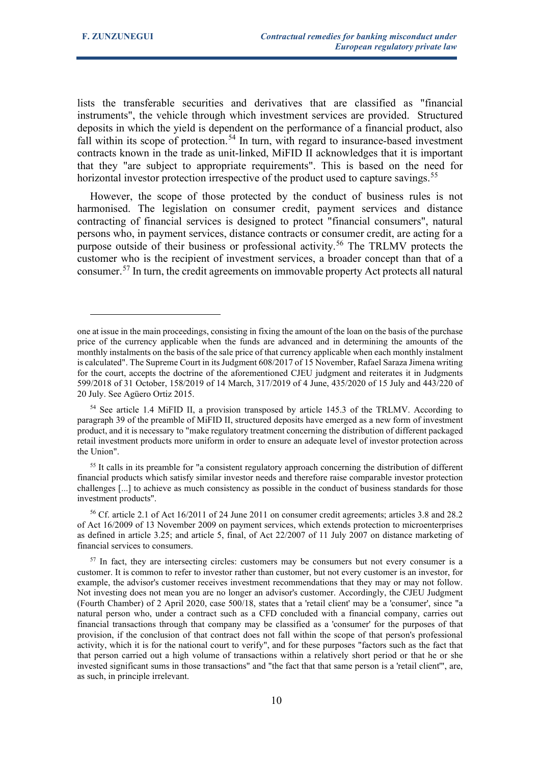lists the transferable securities and derivatives that are classified as "financial instruments", the vehicle through which investment services are provided. Structured deposits in which the yield is dependent on the performance of a financial product, also fall within its scope of protection.<sup>[54](#page-9-0)</sup> In turn, with regard to insurance-based investment contracts known in the trade as unit-linked, MiFID II acknowledges that it is important that they "are subject to appropriate requirements". This is based on the need for horizontal investor protection irrespective of the product used to capture savings.<sup>[55](#page-9-1)</sup>

However, the scope of those protected by the conduct of business rules is not harmonised. The legislation on consumer credit, payment services and distance contracting of financial services is designed to protect "financial consumers", natural persons who, in payment services, distance contracts or consumer credit, are acting for a purpose outside of their business or professional activity.<sup>[56](#page-9-2)</sup> The TRLMV protects the customer who is the recipient of investment services, a broader concept than that of a consumer.<sup>[57](#page-9-3)</sup> In turn, the credit agreements on immovable property Act protects all natural

one at issue in the main proceedings, consisting in fixing the amount of the loan on the basis of the purchase price of the currency applicable when the funds are advanced and in determining the amounts of the monthly instalments on the basis of the sale price of that currency applicable when each monthly instalment is calculated". The Supreme Court in its Judgment 608/2017 of 15 November, Rafael Saraza Jimena writing for the court, accepts the doctrine of the aforementioned CJEU judgment and reiterates it in Judgments 599/2018 of 31 October, 158/2019 of 14 March, 317/2019 of 4 June, 435/2020 of 15 July and 443/220 of 20 July. See Agüero Ortiz 2015.

<span id="page-9-0"></span><sup>54</sup> See article 1.4 MiFID II, a provision transposed by article 145.3 of the TRLMV. According to paragraph 39 of the preamble of MiFID II, structured deposits have emerged as a new form of investment product, and it is necessary to "make regulatory treatment concerning the distribution of different packaged retail investment products more uniform in order to ensure an adequate level of investor protection across the Union".

<span id="page-9-1"></span><sup>&</sup>lt;sup>55</sup> It calls in its preamble for "a consistent regulatory approach concerning the distribution of different financial products which satisfy similar investor needs and therefore raise comparable investor protection challenges [...] to achieve as much consistency as possible in the conduct of business standards for those investment products".

<span id="page-9-2"></span><sup>56</sup> Cf. article 2.1 of Act 16/2011 of 24 June 2011 on consumer credit agreements; articles 3.8 and 28.2 of Act 16/2009 of 13 November 2009 on payment services, which extends protection to microenterprises as defined in article 3.25; and article 5, final, of Act 22/2007 of 11 July 2007 on distance marketing of financial services to consumers.

<span id="page-9-3"></span><sup>&</sup>lt;sup>57</sup> In fact, they are intersecting circles: customers may be consumers but not every consumer is a customer. It is common to refer to investor rather than customer, but not every customer is an investor, for example, the advisor's customer receives investment recommendations that they may or may not follow. Not investing does not mean you are no longer an advisor's customer. Accordingly, the CJEU Judgment (Fourth Chamber) of 2 April 2020, case 500/18, states that a 'retail client' may be a 'consumer', since "a natural person who, under a contract such as a CFD concluded with a financial company, carries out financial transactions through that company may be classified as a 'consumer' for the purposes of that provision, if the conclusion of that contract does not fall within the scope of that person's professional activity, which it is for the national court to verify", and for these purposes "factors such as the fact that that person carried out a high volume of transactions within a relatively short period or that he or she invested significant sums in those transactions" and "the fact that that same person is a 'retail client'", are, as such, in principle irrelevant.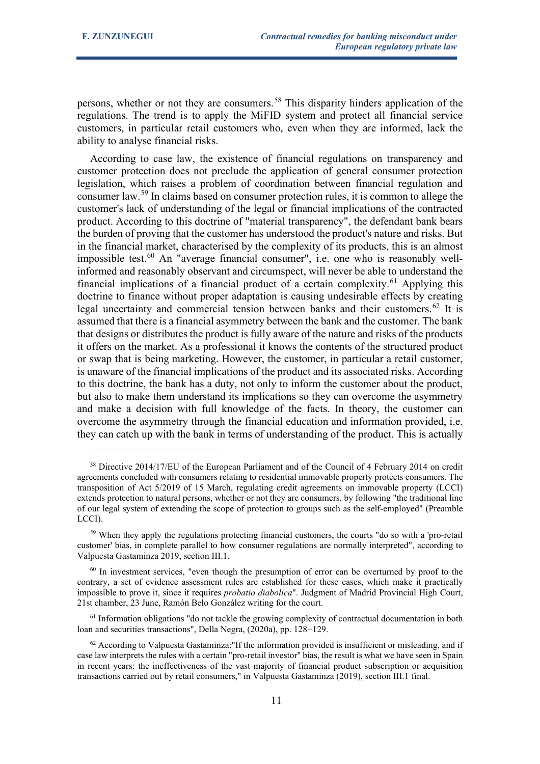persons, whether or not they are consumers.<sup>[58](#page-10-0)</sup> This disparity hinders application of the regulations. The trend is to apply the MiFID system and protect all financial service customers, in particular retail customers who, even when they are informed, lack the ability to analyse financial risks.

According to case law, the existence of financial regulations on transparency and customer protection does not preclude the application of general consumer protection legislation, which raises a problem of coordination between financial regulation and consumer law.[59](#page-10-1) In claims based on consumer protection rules, it is common to allege the customer's lack of understanding of the legal or financial implications of the contracted product. According to this doctrine of "material transparency", the defendant bank bears the burden of proving that the customer has understood the product's nature and risks. But in the financial market, characterised by the complexity of its products, this is an almost impossible test. $60$  An "average financial consumer", i.e. one who is reasonably wellinformed and reasonably observant and circumspect, will never be able to understand the financial implications of a financial product of a certain complexity.<sup>[61](#page-10-3)</sup> Applying this doctrine to finance without proper adaptation is causing undesirable effects by creating legal uncertainty and commercial tension between banks and their customers.<sup>[62](#page-10-4)</sup> It is assumed that there is a financial asymmetry between the bank and the customer. The bank that designs or distributes the product is fully aware of the nature and risks of the products it offers on the market. As a professional it knows the contents of the structured product or swap that is being marketing. However, the customer, in particular a retail customer, is unaware of the financial implications of the product and its associated risks. According to this doctrine, the bank has a duty, not only to inform the customer about the product, but also to make them understand its implications so they can overcome the asymmetry and make a decision with full knowledge of the facts. In theory, the customer can overcome the asymmetry through the financial education and information provided, i.e. they can catch up with the bank in terms of understanding of the product. This is actually

<span id="page-10-0"></span><sup>58</sup> Directive 2014/17/EU of the European Parliament and of the Council of 4 February 2014 on credit agreements concluded with consumers relating to residential immovable property protects consumers. The transposition of Act 5/2019 of 15 March, regulating credit agreements on immovable property (LCCI) extends protection to natural persons, whether or not they are consumers, by following "the traditional line of our legal system of extending the scope of protection to groups such as the self-employed" (Preamble LCCI).

<span id="page-10-1"></span><sup>59</sup> When they apply the regulations protecting financial customers, the courts "do so with a 'pro-retail customer' bias, in complete parallel to how consumer regulations are normally interpreted", according to Valpuesta Gastaminza 2019, section III.1.

<span id="page-10-2"></span><sup>&</sup>lt;sup>60</sup> In investment services, "even though the presumption of error can be overturned by proof to the contrary, a set of evidence assessment rules are established for these cases, which make it practically impossible to prove it, since it requires *probatio diabolica*". Judgment of Madrid Provincial High Court, 21st chamber, 23 June, Ramón Belo González writing for the court.

<span id="page-10-3"></span> $61$  Information obligations "do not tackle the growing complexity of contractual documentation in both loan and securities transactions", Della Negra, (2020a), pp. 128−129.

<span id="page-10-4"></span><sup>62</sup> According to Valpuesta Gastaminza:"If the information provided is insufficient or misleading, and if case law interprets the rules with a certain "pro-retail investor" bias, the result is what we have seen in Spain in recent years: the ineffectiveness of the vast majority of financial product subscription or acquisition transactions carried out by retail consumers," in Valpuesta Gastaminza (2019), section III.1 final.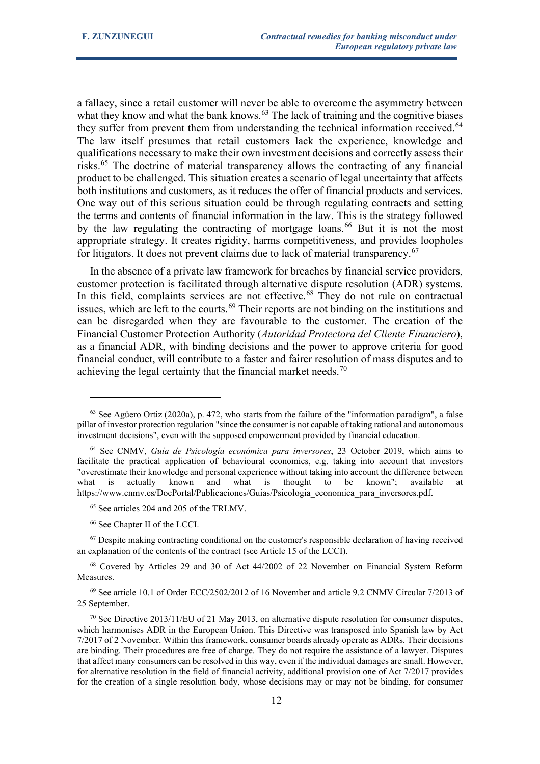a fallacy, since a retail customer will never be able to overcome the asymmetry between what they know and what the bank knows.<sup>[63](#page-11-0)</sup> The lack of training and the cognitive biases they suffer from prevent them from understanding the technical information received.<sup>[64](#page-11-1)</sup> The law itself presumes that retail customers lack the experience, knowledge and qualifications necessary to make their own investment decisions and correctly assess their risks.[65](#page-11-2) The doctrine of material transparency allows the contracting of any financial product to be challenged. This situation creates a scenario of legal uncertainty that affects both institutions and customers, as it reduces the offer of financial products and services. One way out of this serious situation could be through regulating contracts and setting the terms and contents of financial information in the law. This is the strategy followed by the law regulating the contracting of mortgage loans.<sup>[66](#page-11-3)</sup> But it is not the most appropriate strategy. It creates rigidity, harms competitiveness, and provides loopholes for litigators. It does not prevent claims due to lack of material transparency.<sup>[67](#page-11-4)</sup>

In the absence of a private law framework for breaches by financial service providers, customer protection is facilitated through alternative dispute resolution (ADR) systems. In this field, complaints services are not effective.<sup>[68](#page-11-5)</sup> They do not rule on contractual issues, which are left to the courts.<sup>[69](#page-11-6)</sup> Their reports are not binding on the institutions and can be disregarded when they are favourable to the customer. The creation of the Financial Customer Protection Authority (*Autoridad Protectora del Cliente Financiero*), as a financial ADR, with binding decisions and the power to approve criteria for good financial conduct, will contribute to a faster and fairer resolution of mass disputes and to achieving the legal certainty that the financial market needs.<sup>[70](#page-11-7)</sup>

<sup>66</sup> See Chapter II of the LCCI.

<span id="page-11-4"></span><span id="page-11-3"></span><span id="page-11-2"></span><sup>67</sup> Despite making contracting conditional on the customer's responsible declaration of having received an explanation of the contents of the contract (see Article 15 of the LCCI).

<span id="page-11-5"></span><sup>68</sup> Covered by Articles 29 and 30 of Act 44/2002 of 22 November on Financial System Reform Measures.

<span id="page-11-6"></span><sup>69</sup> See article 10.1 of Order ECC/2502/2012 of 16 November and article 9.2 CNMV Circular 7/2013 of 25 September.

<span id="page-11-0"></span> $63$  See Agüero Ortiz (2020a), p. 472, who starts from the failure of the "information paradigm", a false pillar of investor protection regulation "since the consumer is not capable of taking rational and autonomous investment decisions", even with the supposed empowerment provided by financial education.

<span id="page-11-1"></span><sup>64</sup> See CNMV, *Guía de Psicología económica para inversores*, 23 October 2019, which aims to facilitate the practical application of behavioural economics, e.g. taking into account that investors "overestimate their knowledge and personal experience without taking into account the difference between what is actually known and what is thought to be known"; available at [https://www.cnmv.es/DocPortal/Publicaciones/Guias/Psicologia\\_economica\\_para\\_inversores.pdf.](https://www.cnmv.es/DocPortal/Publicaciones/Guias/Psicologia_economica_para_inversores.pdf)

<sup>65</sup> See articles 204 and 205 of the TRLMV.

<span id="page-11-7"></span> $70$  See Directive 2013/11/EU of 21 May 2013, on alternative dispute resolution for consumer disputes, which harmonises ADR in the European Union. This Directive was transposed into Spanish law by Act 7/2017 of 2 November. Within this framework, consumer boards already operate as ADRs. Their decisions are binding. Their procedures are free of charge. They do not require the assistance of a lawyer. Disputes that affect many consumers can be resolved in this way, even if the individual damages are small. However, for alternative resolution in the field of financial activity, additional provision one of Act 7/2017 provides for the creation of a single resolution body, whose decisions may or may not be binding, for consumer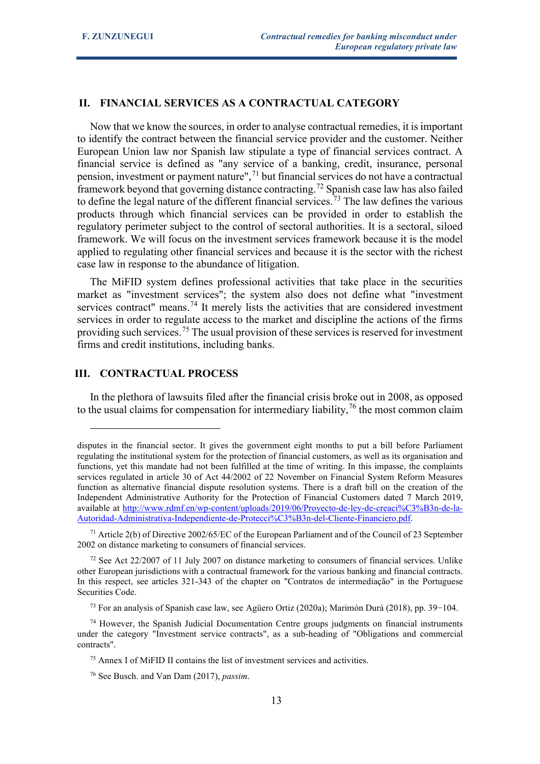# **II. FINANCIAL SERVICES AS A CONTRACTUAL CATEGORY**

Now that we know the sources, in order to analyse contractual remedies, it is important to identify the contract between the financial service provider and the customer. Neither European Union law nor Spanish law stipulate a type of financial services contract. A financial service is defined as "any service of a banking, credit, insurance, personal pension, investment or payment nature", $71$  but financial services do not have a contractual framework beyond that governing distance contracting.[72](#page-12-1) Spanish case law has also failed to define the legal nature of the different financial services.<sup>[73](#page-12-2)</sup> The law defines the various products through which financial services can be provided in order to establish the regulatory perimeter subject to the control of sectoral authorities. It is a sectoral, siloed framework. We will focus on the investment services framework because it is the model applied to regulating other financial services and because it is the sector with the richest case law in response to the abundance of litigation.

The MiFID system defines professional activities that take place in the securities market as "investment services"; the system also does not define what "investment services contract" means.<sup>[74](#page-12-3)</sup> It merely lists the activities that are considered investment services in order to regulate access to the market and discipline the actions of the firms providing such services.<sup>[75](#page-12-4)</sup> The usual provision of these services is reserved for investment firms and credit institutions, including banks.

# **III. CONTRACTUAL PROCESS**

In the plethora of lawsuits filed after the financial crisis broke out in 2008, as opposed to the usual claims for compensation for intermediary liability,<sup>[76](#page-12-5)</sup> the most common claim

<sup>73</sup> For an analysis of Spanish case law, see Agüero Ortiz (2020a); Marimón Durá (2018), pp. 39−104.

disputes in the financial sector. It gives the government eight months to put a bill before Parliament regulating the institutional system for the protection of financial customers, as well as its organisation and functions, yet this mandate had not been fulfilled at the time of writing. In this impasse, the complaints services regulated in article 30 of Act 44/2002 of 22 November on Financial System Reform Measures function as alternative financial dispute resolution systems. There is a draft bill on the creation of the Independent Administrative Authority for the Protection of Financial Customers dated 7 March 2019, available at [http://www.rdmf.en/wp-content/uploads/2019/06/Proyecto-de-ley-de-creaci%C3%B3n-de-la-](http://www.rdmf.es/wp-content/uploads/2019/06/Proyecto-de-ley-de-creaci%C3%B3n-de-la-Autoridad-Administrativa-Independiente-de-Protecci%C3%B3n-del-Cliente-Financiero.pdf)[Autoridad-Administrativa-Independiente-de-Protecci%C3%B3n-del-Cliente-Financiero.pdf.](http://www.rdmf.es/wp-content/uploads/2019/06/Proyecto-de-ley-de-creaci%C3%B3n-de-la-Autoridad-Administrativa-Independiente-de-Protecci%C3%B3n-del-Cliente-Financiero.pdf)

<span id="page-12-0"></span><sup>&</sup>lt;sup>71</sup> Article 2(b) of Directive 2002/65/EC of the European Parliament and of the Council of 23 September 2002 on distance marketing to consumers of financial services.

<span id="page-12-1"></span><sup>&</sup>lt;sup>72</sup> See Act 22/2007 of 11 July 2007 on distance marketing to consumers of financial services. Unlike other European jurisdictions with a contractual framework for the various banking and financial contracts. In this respect, see articles 321-343 of the chapter on "Contratos de intermediação" in the Portuguese Securities Code.

<span id="page-12-4"></span><span id="page-12-3"></span><span id="page-12-2"></span> $74$  However, the Spanish Judicial Documentation Centre groups judgments on financial instruments under the category "Investment service contracts", as a sub-heading of "Obligations and commercial contracts".

 $<sup>75</sup>$  Annex I of MiFID II contains the list of investment services and activities.</sup>

<span id="page-12-5"></span><sup>76</sup> See Busch. and Van Dam (2017), *passim*.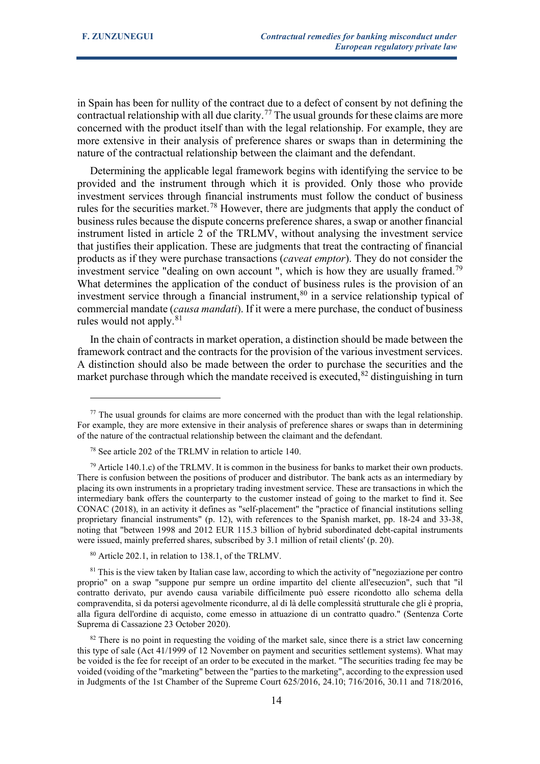in Spain has been for nullity of the contract due to a defect of consent by not defining the contractual relationship with all due clarity.<sup>[77](#page-13-0)</sup> The usual grounds for these claims are more concerned with the product itself than with the legal relationship. For example, they are more extensive in their analysis of preference shares or swaps than in determining the nature of the contractual relationship between the claimant and the defendant.

Determining the applicable legal framework begins with identifying the service to be provided and the instrument through which it is provided. Only those who provide investment services through financial instruments must follow the conduct of business rules for the securities market.<sup>[78](#page-13-1)</sup> However, there are judgments that apply the conduct of business rules because the dispute concerns preference shares, a swap or another financial instrument listed in article 2 of the TRLMV, without analysing the investment service that justifies their application. These are judgments that treat the contracting of financial products as if they were purchase transactions (*caveat emptor*). They do not consider the investment service "dealing on own account", which is how they are usually framed.<sup>[79](#page-13-2)</sup> What determines the application of the conduct of business rules is the provision of an investment service through a financial instrument,  $80$  in a service relationship typical of commercial mandate (*causa mandati*). If it were a mere purchase, the conduct of business rules would not apply. $81$ 

In the chain of contracts in market operation, a distinction should be made between the framework contract and the contracts for the provision of the various investment services. A distinction should also be made between the order to purchase the securities and the market purchase through which the mandate received is executed,  $82$  distinguishing in turn

<sup>80</sup> Article 202.1, in relation to 138.1, of the TRLMV.

<span id="page-13-4"></span><span id="page-13-3"></span> $81$  This is the view taken by Italian case law, according to which the activity of "negoziazione per contro proprio" on a swap "suppone pur sempre un ordine impartito del cliente all'esecuzion", such that "il contratto derivato, pur avendo causa variabile difficilmente può essere ricondotto allo schema della compravendita, sì da potersi agevolmente ricondurre, al di là delle complessità strutturale che gli è propria, alla figura dell'ordine di acquisto, come emesso in attuazione di un contratto quadro." (Sentenza Corte Suprema di Cassazione 23 October 2020).

<span id="page-13-5"></span> $82$  There is no point in requesting the voiding of the market sale, since there is a strict law concerning this type of sale (Act 41/1999 of 12 November on payment and securities settlement systems). What may be voided is the fee for receipt of an order to be executed in the market. "The securities trading fee may be voided (voiding of the "marketing" between the "parties to the marketing", according to the expression used in Judgments of the 1st Chamber of the Supreme Court 625/2016, 24.10; 716/2016, 30.11 and 718/2016,

<span id="page-13-0"></span> $77$  The usual grounds for claims are more concerned with the product than with the legal relationship. For example, they are more extensive in their analysis of preference shares or swaps than in determining of the nature of the contractual relationship between the claimant and the defendant.

<sup>78</sup> See article 202 of the TRLMV in relation to article 140.

<span id="page-13-2"></span><span id="page-13-1"></span> $79$  Article 140.1.c) of the TRLMV. It is common in the business for banks to market their own products. There is confusion between the positions of producer and distributor. The bank acts as an intermediary by placing its own instruments in a proprietary trading investment service. These are transactions in which the intermediary bank offers the counterparty to the customer instead of going to the market to find it. See CONAC (2018), in an activity it defines as "self-placement" the "practice of financial institutions selling proprietary financial instruments" (p. 12), with references to the Spanish market, pp. 18-24 and 33-38, noting that "between 1998 and 2012 EUR 115.3 billion of hybrid subordinated debt-capital instruments were issued, mainly preferred shares, subscribed by 3.1 million of retail clients' (p. 20).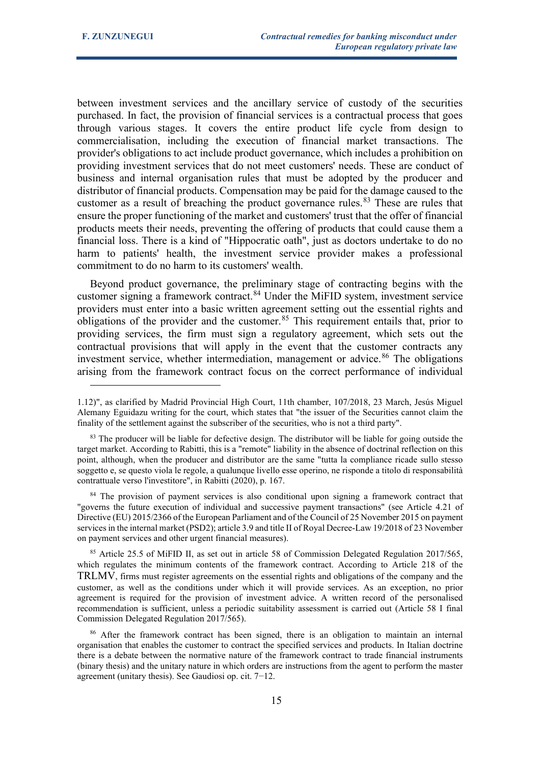between investment services and the ancillary service of custody of the securities purchased. In fact, the provision of financial services is a contractual process that goes through various stages. It covers the entire product life cycle from design to commercialisation, including the execution of financial market transactions. The provider's obligations to act include product governance, which includes a prohibition on providing investment services that do not meet customers' needs. These are conduct of business and internal organisation rules that must be adopted by the producer and distributor of financial products. Compensation may be paid for the damage caused to the customer as a result of breaching the product governance rules.<sup>[83](#page-14-0)</sup> These are rules that ensure the proper functioning of the market and customers' trust that the offer of financial products meets their needs, preventing the offering of products that could cause them a financial loss. There is a kind of "Hippocratic oath", just as doctors undertake to do no harm to patients' health, the investment service provider makes a professional commitment to do no harm to its customers' wealth.

Beyond product governance, the preliminary stage of contracting begins with the customer signing a framework contract.<sup>[84](#page-14-1)</sup> Under the MiFID system, investment service providers must enter into a basic written agreement setting out the essential rights and obligations of the provider and the customer. $85$  This requirement entails that, prior to providing services, the firm must sign a regulatory agreement, which sets out the contractual provisions that will apply in the event that the customer contracts any investment service, whether intermediation, management or advice.<sup>[86](#page-14-3)</sup> The obligations arising from the framework contract focus on the correct performance of individual

<sup>1.12)&</sup>quot;, as clarified by Madrid Provincial High Court, 11th chamber, 107/2018, 23 March, Jesús Miguel Alemany Eguidazu writing for the court, which states that "the issuer of the Securities cannot claim the finality of the settlement against the subscriber of the securities, who is not a third party".

<span id="page-14-0"></span><sup>&</sup>lt;sup>83</sup> The producer will be liable for defective design. The distributor will be liable for going outside the target market. According to Rabitti, this is a "remote" liability in the absence of doctrinal reflection on this point, although, when the producer and distributor are the same "tutta la compliance ricade sullo stesso soggetto e, se questo viola le regole, a qualunque livello esse operino, ne risponde a titolo di responsabilità contrattuale verso l'investitore", in Rabitti (2020), p. 167.

<span id="page-14-1"></span><sup>&</sup>lt;sup>84</sup> The provision of payment services is also conditional upon signing a framework contract that "governs the future execution of individual and successive payment transactions" (see Article 4.21 of Directive (EU) 2015/2366 of the European Parliament and of the Council of 25 November 2015 on payment services in the internal market (PSD2); article 3.9 and title II of Royal Decree-Law 19/2018 of 23 November on payment services and other urgent financial measures).

<span id="page-14-2"></span><sup>85</sup> Article 25.5 of MiFID II, as set out in article 58 of Commission Delegated Regulation 2017/565, which regulates the minimum contents of the framework contract. According to Article 218 of the TRLMV, firms must register agreements on the essential rights and obligations of the company and the customer, as well as the conditions under which it will provide services. As an exception, no prior agreement is required for the provision of investment advice. A written record of the personalised recommendation is sufficient, unless a periodic suitability assessment is carried out (Article 58 I final Commission Delegated Regulation 2017/565).

<span id="page-14-3"></span><sup>&</sup>lt;sup>86</sup> After the framework contract has been signed, there is an obligation to maintain an internal organisation that enables the customer to contract the specified services and products. In Italian doctrine there is a debate between the normative nature of the framework contract to trade financial instruments (binary thesis) and the unitary nature in which orders are instructions from the agent to perform the master agreement (unitary thesis). See Gaudiosi op. cit. 7−12.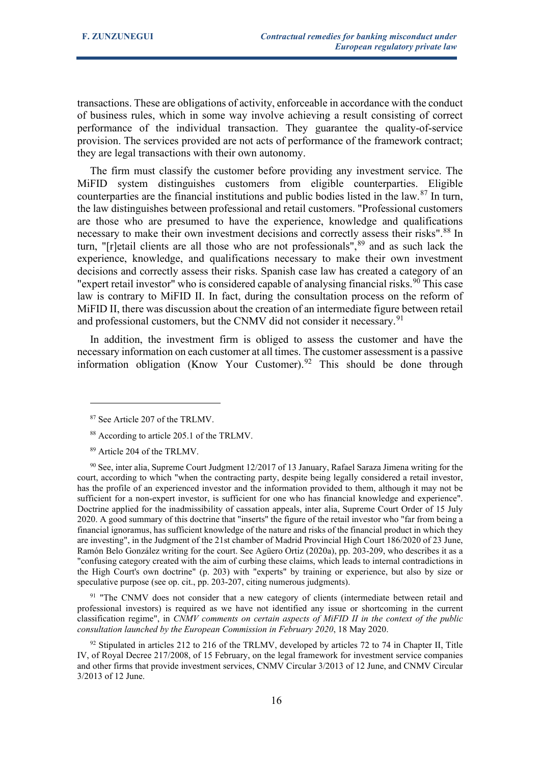transactions. These are obligations of activity, enforceable in accordance with the conduct of business rules, which in some way involve achieving a result consisting of correct performance of the individual transaction. They guarantee the quality-of-service provision. The services provided are not acts of performance of the framework contract; they are legal transactions with their own autonomy.

The firm must classify the customer before providing any investment service. The MiFID system distinguishes customers from eligible counterparties. Eligible counterparties are the financial institutions and public bodies listed in the law.<sup>[87](#page-15-0)</sup> In turn, the law distinguishes between professional and retail customers. "Professional customers are those who are presumed to have the experience, knowledge and qualifications necessary to make their own investment decisions and correctly assess their risks".<sup>[88](#page-15-1)</sup> In turn, " $r$ ] retail clients are all those who are not professionals", $89$  and as such lack the experience, knowledge, and qualifications necessary to make their own investment decisions and correctly assess their risks. Spanish case law has created a category of an "expert retail investor" who is considered capable of analysing financial risks.<sup>[90](#page-15-3)</sup> This case law is contrary to MiFID II. In fact, during the consultation process on the reform of MiFID II, there was discussion about the creation of an intermediate figure between retail and professional customers, but the CNMV did not consider it necessary.<sup>[91](#page-15-4)</sup>

In addition, the investment firm is obliged to assess the customer and have the necessary information on each customer at all times. The customer assessment is a passive information obligation (Know Your Customer).<sup>[92](#page-15-5)</sup> This should be done through

<span id="page-15-4"></span> $91$  "The CNMV does not consider that a new category of clients (intermediate between retail and professional investors) is required as we have not identified any issue or shortcoming in the current classification regime", in *CNMV comments on certain aspects of MiFID II in the context of the public consultation launched by the European Commission in February 2020*, 18 May 2020.

<span id="page-15-0"></span><sup>87</sup> See Article 207 of the TRLMV.

<sup>88</sup> According to article 205.1 of the TRLMV.

<sup>89</sup> Article 204 of the TRLMV.

<span id="page-15-3"></span><span id="page-15-2"></span><span id="page-15-1"></span><sup>90</sup> See, inter alia, Supreme Court Judgment 12/2017 of 13 January, Rafael Saraza Jimena writing for the court, according to which "when the contracting party, despite being legally considered a retail investor, has the profile of an experienced investor and the information provided to them, although it may not be sufficient for a non-expert investor, is sufficient for one who has financial knowledge and experience". Doctrine applied for the inadmissibility of cassation appeals, inter alia, Supreme Court Order of 15 July 2020. A good summary of this doctrine that "inserts" the figure of the retail investor who "far from being a financial ignoramus, has sufficient knowledge of the nature and risks of the financial product in which they are investing", in the Judgment of the 21st chamber of Madrid Provincial High Court 186/2020 of 23 June, Ramón Belo González writing for the court. See Agüero Ortiz (2020a), pp. 203-209, who describes it as a "confusing category created with the aim of curbing these claims, which leads to internal contradictions in the High Court's own doctrine" (p. 203) with "experts" by training or experience, but also by size or speculative purpose (see op. cit., pp. 203-207, citing numerous judgments).

<span id="page-15-5"></span><sup>&</sup>lt;sup>92</sup> Stipulated in articles 212 to 216 of the TRLMV, developed by articles 72 to 74 in Chapter II, Title IV, of Royal Decree 217/2008, of 15 February, on the legal framework for investment service companies and other firms that provide investment services, CNMV Circular 3/2013 of 12 June, and CNMV Circular 3/2013 of 12 June.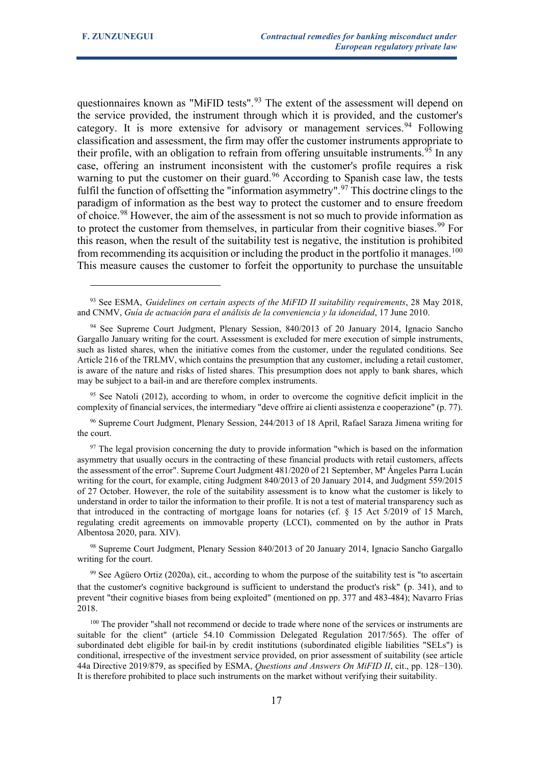questionnaires known as "MiFID tests".<sup>[93](#page-16-0)</sup> The extent of the assessment will depend on the service provided, the instrument through which it is provided, and the customer's category. It is more extensive for advisory or management services.<sup>[94](#page-16-1)</sup> Following classification and assessment, the firm may offer the customer instruments appropriate to their profile, with an obligation to refrain from offering unsuitable instruments.<sup>[95](#page-16-2)</sup> In any case, offering an instrument inconsistent with the customer's profile requires a risk warning to put the customer on their guard.<sup>[96](#page-16-3)</sup> According to Spanish case law, the tests fulfil the function of offsetting the "information asymmetry".<sup>[97](#page-16-4)</sup> This doctrine clings to the paradigm of information as the best way to protect the customer and to ensure freedom of choice.<sup>[98](#page-16-5)</sup> However, the aim of the assessment is not so much to provide information as to protect the customer from themselves, in particular from their cognitive biases.<sup>[99](#page-16-6)</sup> For this reason, when the result of the suitability test is negative, the institution is prohibited from recommending its acquisition or including the product in the portfolio it manages.<sup>[100](#page-16-7)</sup> This measure causes the customer to forfeit the opportunity to purchase the unsuitable

<span id="page-16-2"></span><sup>95</sup> See Natoli (2012), according to whom, in order to overcome the cognitive deficit implicit in the complexity of financial services, the intermediary "deve offrire ai clienti assistenza e cooperazione" (p. 77).

<span id="page-16-3"></span><sup>96</sup> Supreme Court Judgment, Plenary Session, 244/2013 of 18 April, Rafael Saraza Jimena writing for the court.

<span id="page-16-4"></span> $97$  The legal provision concerning the duty to provide information "which is based on the information" asymmetry that usually occurs in the contracting of these financial products with retail customers, affects the assessment of the error". Supreme Court Judgment 481/2020 of 21 September, Mª Ángeles Parra Lucán writing for the court, for example, citing Judgment 840/2013 of 20 January 2014, and Judgment 559/2015 of 27 October. However, the role of the suitability assessment is to know what the customer is likely to understand in order to tailor the information to their profile. It is not a test of material transparency such as that introduced in the contracting of mortgage loans for notaries (cf. § 15 Act 5/2019 of 15 March, regulating credit agreements on immovable property (LCCI), commented on by the author in Prats Albentosa 2020, para. XIV).

<span id="page-16-5"></span><sup>98</sup> Supreme Court Judgment, Plenary Session 840/2013 of 20 January 2014, Ignacio Sancho Gargallo writing for the court.

<span id="page-16-6"></span><sup>99</sup> See Agüero Ortiz (2020a), cit., according to whom the purpose of the suitability test is "to ascertain that the customer's cognitive background is sufficient to understand the product's risk" (p. 341), and to prevent "their cognitive biases from being exploited" (mentioned on pp. 377 and 483-484); Navarro Frías 2018.

<span id="page-16-7"></span><sup>100</sup> The provider "shall not recommend or decide to trade where none of the services or instruments are suitable for the client" (article 54.10 Commission Delegated Regulation 2017/565). The offer of subordinated debt eligible for bail-in by credit institutions (subordinated eligible liabilities "SELs") is conditional, irrespective of the investment service provided, on prior assessment of suitability (see article 44a Directive 2019/879, as specified by ESMA, *Questions and Answers On MiFID II*, cit., pp. 128−130). It is therefore prohibited to place such instruments on the market without verifying their suitability.

<span id="page-16-0"></span><sup>93</sup> See ESMA, *Guidelines on certain aspects of the MiFID II suitability requirements*, 28 May 2018, and CNMV, *Guía de actuación para el análisis de la conveniencia y la idoneidad*, 17 June 2010.

<span id="page-16-1"></span><sup>94</sup> See Supreme Court Judgment, Plenary Session, 840/2013 of 20 January 2014, Ignacio Sancho Gargallo January writing for the court. Assessment is excluded for mere execution of simple instruments, such as listed shares, when the initiative comes from the customer, under the regulated conditions. See Article 216 of the TRLMV, which contains the presumption that any customer, including a retail customer, is aware of the nature and risks of listed shares. This presumption does not apply to bank shares, which may be subject to a bail-in and are therefore complex instruments.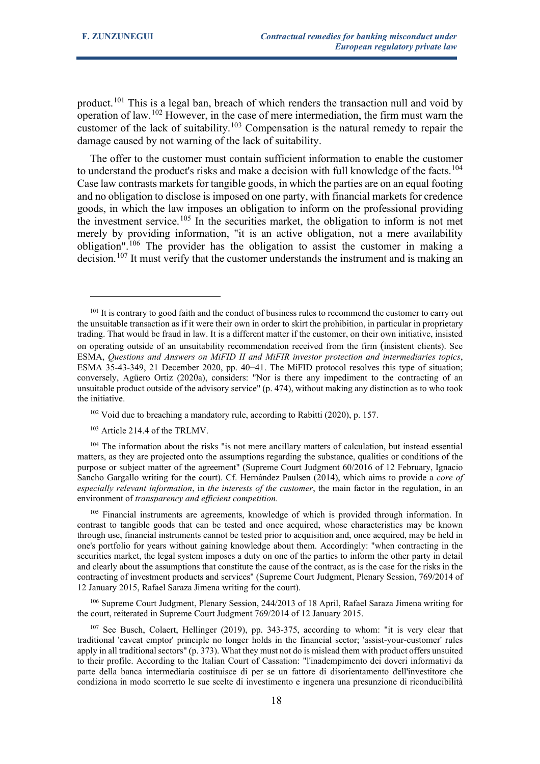product.<sup>[101](#page-17-0)</sup> This is a legal ban, breach of which renders the transaction null and void by operation of law.[102](#page-17-1) However, in the case of mere intermediation, the firm must warn the customer of the lack of suitability.<sup>[103](#page-17-2)</sup> Compensation is the natural remedy to repair the damage caused by not warning of the lack of suitability.

The offer to the customer must contain sufficient information to enable the customer to understand the product's risks and make a decision with full knowledge of the facts.<sup>[104](#page-17-3)</sup> Case law contrasts markets for tangible goods, in which the parties are on an equal footing and no obligation to disclose is imposed on one party, with financial markets for credence goods, in which the law imposes an obligation to inform on the professional providing the investment service.<sup>[105](#page-17-4)</sup> In the securities market, the obligation to inform is not met merely by providing information, "it is an active obligation, not a mere availability obligation".[106](#page-17-5) The provider has the obligation to assist the customer in making a decision.<sup>[107](#page-17-6)</sup> It must verify that the customer understands the instrument and is making an

<span id="page-17-5"></span><sup>106</sup> Supreme Court Judgment, Plenary Session, 244/2013 of 18 April, Rafael Saraza Jimena writing for the court, reiterated in Supreme Court Judgment 769/2014 of 12 January 2015.

<span id="page-17-0"></span><sup>&</sup>lt;sup>101</sup> It is contrary to good faith and the conduct of business rules to recommend the customer to carry out the unsuitable transaction as if it were their own in order to skirt the prohibition, in particular in proprietary trading. That would be fraud in law. It is a different matter if the customer, on their own initiative, insisted on operating outside of an unsuitability recommendation received from the firm (insistent clients). See ESMA, *Questions and Answers on MiFID II and MiFIR investor protection and intermediaries topics*, ESMA 35-43-349, 21 December 2020, pp. 40−41. The MiFID protocol resolves this type of situation; conversely, Agüero Ortiz (2020a), considers: "Nor is there any impediment to the contracting of an unsuitable product outside of the advisory service" (p. 474), without making any distinction as to who took the initiative.

<sup>&</sup>lt;sup>102</sup> Void due to breaching a mandatory rule, according to Rabitti (2020), p. 157.

<sup>&</sup>lt;sup>103</sup> Article 214.4 of the TRLMV.

<span id="page-17-3"></span><span id="page-17-2"></span><span id="page-17-1"></span><sup>&</sup>lt;sup>104</sup> The information about the risks "is not mere ancillary matters of calculation, but instead essential matters, as they are projected onto the assumptions regarding the substance, qualities or conditions of the purpose or subject matter of the agreement" (Supreme Court Judgment 60/2016 of 12 February, Ignacio Sancho Gargallo writing for the court). Cf. Hernández Paulsen (2014), which aims to provide a *core of especially relevant information*, in *the interests of the customer*, the main factor in the regulation, in an environment of *transparency and efficient competition*.

<span id="page-17-4"></span><sup>&</sup>lt;sup>105</sup> Financial instruments are agreements, knowledge of which is provided through information. In contrast to tangible goods that can be tested and once acquired, whose characteristics may be known through use, financial instruments cannot be tested prior to acquisition and, once acquired, may be held in one's portfolio for years without gaining knowledge about them. Accordingly: "when contracting in the securities market, the legal system imposes a duty on one of the parties to inform the other party in detail and clearly about the assumptions that constitute the cause of the contract, as is the case for the risks in the contracting of investment products and services" (Supreme Court Judgment, Plenary Session, 769/2014 of 12 January 2015, Rafael Saraza Jimena writing for the court).

<span id="page-17-6"></span><sup>107</sup> See Busch, Colaert, Hellinger (2019), pp. 343-375, according to whom: "it is very clear that traditional 'caveat emptor' principle no longer holds in the financial sector; 'assist-your-customer' rules apply in all traditional sectors" (p. 373). What they must not do is mislead them with product offers unsuited to their profile. According to the Italian Court of Cassation: "l'inadempimento dei doveri informativi da parte della banca intermediaria costituisce di per se un fattore di disorientamento dell'investitore che condiziona in modo scorretto le sue scelte di investimento e ingenera una presunzione di riconducibilità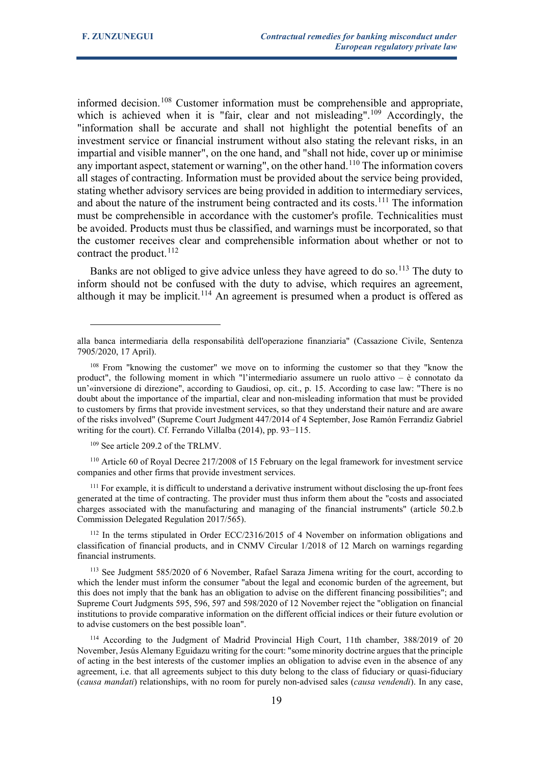informed decision.<sup>[108](#page-18-0)</sup> Customer information must be comprehensible and appropriate, which is achieved when it is "fair, clear and not misleading".<sup>[109](#page-18-1)</sup> Accordingly, the "information shall be accurate and shall not highlight the potential benefits of an investment service or financial instrument without also stating the relevant risks, in an impartial and visible manner", on the one hand, and "shall not hide, cover up or minimise any important aspect, statement or warning", on the other hand.<sup>[110](#page-18-2)</sup> The information covers all stages of contracting. Information must be provided about the service being provided, stating whether advisory services are being provided in addition to intermediary services, and about the nature of the instrument being contracted and its costs.<sup>[111](#page-18-3)</sup> The information must be comprehensible in accordance with the customer's profile. Technicalities must be avoided. Products must thus be classified, and warnings must be incorporated, so that the customer receives clear and comprehensible information about whether or not to contract the product.  $^{112}$  $^{112}$  $^{112}$ 

Banks are not obliged to give advice unless they have agreed to do so.<sup>[113](#page-18-5)</sup> The duty to inform should not be confused with the duty to advise, which requires an agreement, although it may be implicit.<sup>[114](#page-18-6)</sup> An agreement is presumed when a product is offered as

<sup>109</sup> See article 209.2 of the TRLMV.

<span id="page-18-2"></span><span id="page-18-1"></span><sup>110</sup> Article 60 of Royal Decree 217/2008 of 15 February on the legal framework for investment service companies and other firms that provide investment services.

<span id="page-18-3"></span><sup>111</sup> For example, it is difficult to understand a derivative instrument without disclosing the up-front fees generated at the time of contracting. The provider must thus inform them about the "costs and associated charges associated with the manufacturing and managing of the financial instruments" (article 50.2.b Commission Delegated Regulation 2017/565).

<span id="page-18-4"></span><sup>112</sup> In the terms stipulated in Order ECC/2316/2015 of 4 November on information obligations and classification of financial products, and in CNMV Circular 1/2018 of 12 March on warnings regarding financial instruments.

<span id="page-18-5"></span><sup>113</sup> See Judgment 585/2020 of 6 November, Rafael Saraza Jimena writing for the court, according to which the lender must inform the consumer "about the legal and economic burden of the agreement, but this does not imply that the bank has an obligation to advise on the different financing possibilities"; and Supreme Court Judgments 595, 596, 597 and 598/2020 of 12 November reject the "obligation on financial institutions to provide comparative information on the different official indices or their future evolution or to advise customers on the best possible loan".

<span id="page-18-6"></span><sup>114</sup> According to the Judgment of Madrid Provincial High Court, 11th chamber, 388/2019 of 20 November, Jesús Alemany Eguidazu writing for the court: "some minority doctrine argues that the principle of acting in the best interests of the customer implies an obligation to advise even in the absence of any agreement, i.e. that all agreements subject to this duty belong to the class of fiduciary or quasi-fiduciary (*causa mandati*) relationships, with no room for purely non-advised sales (*causa vendendi*). In any case,

alla banca intermediaria della responsabilità dell'operazione finanziaria" (Cassazione Civile, Sentenza 7905/2020, 17 April).

<span id="page-18-0"></span><sup>108</sup> From "knowing the customer" we move on to informing the customer so that they "know the product", the following moment in which "l'intermediario assumere un ruolo attivo – è connotato da un'«inversione di direzione", according to Gaudiosi, op. cit., p. 15. According to case law: "There is no doubt about the importance of the impartial, clear and non-misleading information that must be provided to customers by firms that provide investment services, so that they understand their nature and are aware of the risks involved" (Supreme Court Judgment 447/2014 of 4 September, Jose Ramón Ferrandiz Gabriel writing for the court). Cf. Ferrando Villalba (2014), pp. 93−115.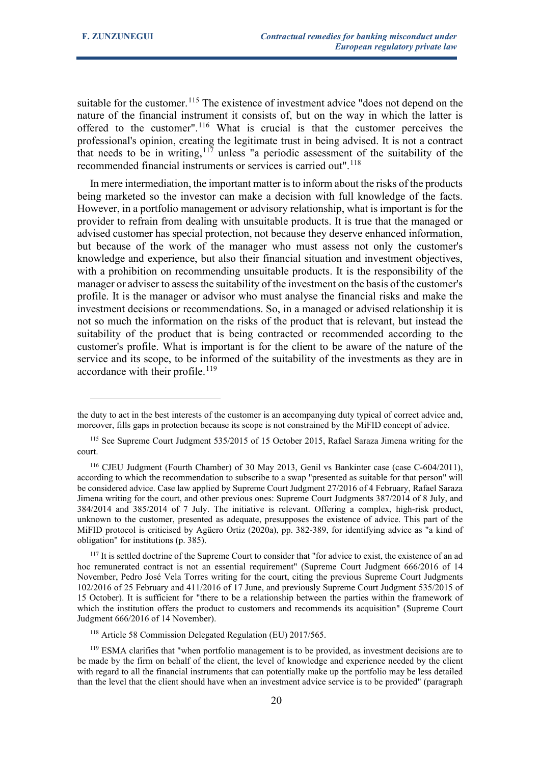suitable for the customer.<sup>[115](#page-19-0)</sup> The existence of investment advice "does not depend on the nature of the financial instrument it consists of, but on the way in which the latter is offered to the customer".[116](#page-19-1) What is crucial is that the customer perceives the professional's opinion, creating the legitimate trust in being advised. It is not a contract that needs to be in writing,  $117$  unless "a periodic assessment of the suitability of the recommended financial instruments or services is carried out".<sup>[118](#page-19-3)</sup>

In mere intermediation, the important matter is to inform about the risks of the products being marketed so the investor can make a decision with full knowledge of the facts. However, in a portfolio management or advisory relationship, what is important is for the provider to refrain from dealing with unsuitable products. It is true that the managed or advised customer has special protection, not because they deserve enhanced information, but because of the work of the manager who must assess not only the customer's knowledge and experience, but also their financial situation and investment objectives, with a prohibition on recommending unsuitable products. It is the responsibility of the manager or adviser to assess the suitability of the investment on the basis of the customer's profile. It is the manager or advisor who must analyse the financial risks and make the investment decisions or recommendations. So, in a managed or advised relationship it is not so much the information on the risks of the product that is relevant, but instead the suitability of the product that is being contracted or recommended according to the customer's profile. What is important is for the client to be aware of the nature of the service and its scope, to be informed of the suitability of the investments as they are in accordance with their profile.<sup>[119](#page-19-4)</sup>

<sup>118</sup> Article 58 Commission Delegated Regulation (EU) 2017/565.

the duty to act in the best interests of the customer is an accompanying duty typical of correct advice and, moreover, fills gaps in protection because its scope is not constrained by the MiFID concept of advice.

<span id="page-19-0"></span><sup>115</sup> See Supreme Court Judgment 535/2015 of 15 October 2015, Rafael Saraza Jimena writing for the court.

<span id="page-19-1"></span><sup>116</sup> CJEU Judgment (Fourth Chamber) of 30 May 2013, Genil vs Bankinter case (case C-604/2011), according to which the recommendation to subscribe to a swap "presented as suitable for that person" will be considered advice. Case law applied by Supreme Court Judgment 27/2016 of 4 February, Rafael Saraza Jimena writing for the court, and other previous ones: Supreme Court Judgments 387/2014 of 8 July, and 384/2014 and 385/2014 of 7 July. The initiative is relevant. Offering a complex, high-risk product, unknown to the customer, presented as adequate, presupposes the existence of advice. This part of the MiFID protocol is criticised by Agüero Ortiz (2020a), pp. 382-389, for identifying advice as "a kind of obligation" for institutions (p. 385).

<span id="page-19-2"></span><sup>&</sup>lt;sup>117</sup> It is settled doctrine of the Supreme Court to consider that "for advice to exist, the existence of an ad hoc remunerated contract is not an essential requirement" (Supreme Court Judgment 666/2016 of 14 November, Pedro José Vela Torres writing for the court, citing the previous Supreme Court Judgments 102/2016 of 25 February and 411/2016 of 17 June, and previously Supreme Court Judgment 535/2015 of 15 October). It is sufficient for "there to be a relationship between the parties within the framework of which the institution offers the product to customers and recommends its acquisition" (Supreme Court Judgment 666/2016 of 14 November).

<span id="page-19-4"></span><span id="page-19-3"></span><sup>&</sup>lt;sup>119</sup> ESMA clarifies that "when portfolio management is to be provided, as investment decisions are to be made by the firm on behalf of the client, the level of knowledge and experience needed by the client with regard to all the financial instruments that can potentially make up the portfolio may be less detailed than the level that the client should have when an investment advice service is to be provided" (paragraph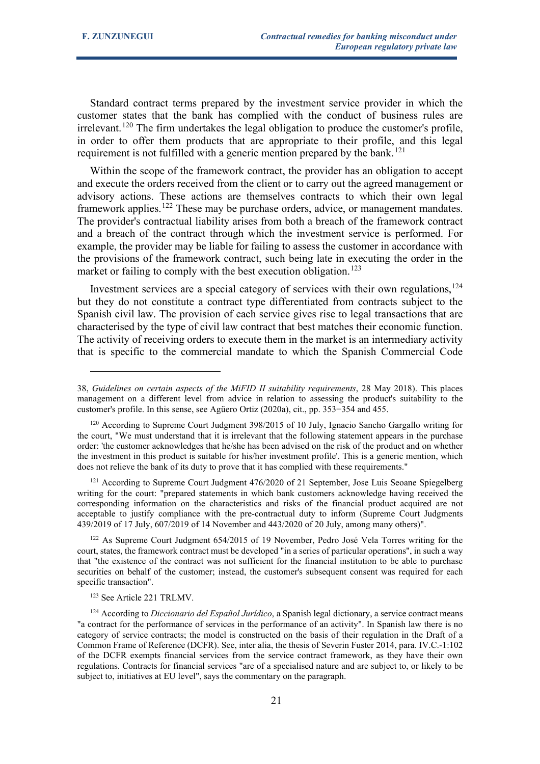Standard contract terms prepared by the investment service provider in which the customer states that the bank has complied with the conduct of business rules are  $i$ rrelevant.<sup>[120](#page-20-0)</sup> The firm undertakes the legal obligation to produce the customer's profile, in order to offer them products that are appropriate to their profile, and this legal requirement is not fulfilled with a generic mention prepared by the bank.<sup>[121](#page-20-1)</sup>

Within the scope of the framework contract, the provider has an obligation to accept and execute the orders received from the client or to carry out the agreed management or advisory actions. These actions are themselves contracts to which their own legal framework applies.<sup>[122](#page-20-2)</sup> These may be purchase orders, advice, or management mandates. The provider's contractual liability arises from both a breach of the framework contract and a breach of the contract through which the investment service is performed. For example, the provider may be liable for failing to assess the customer in accordance with the provisions of the framework contract, such being late in executing the order in the market or failing to comply with the best execution obligation.<sup>[123](#page-20-3)</sup>

Investment services are a special category of services with their own regulations, $124$ but they do not constitute a contract type differentiated from contracts subject to the Spanish civil law. The provision of each service gives rise to legal transactions that are characterised by the type of civil law contract that best matches their economic function. The activity of receiving orders to execute them in the market is an intermediary activity that is specific to the commercial mandate to which the Spanish Commercial Code

<span id="page-20-1"></span><sup>121</sup> According to Supreme Court Judgment 476/2020 of 21 September, Jose Luis Seoane Spiegelberg writing for the court: "prepared statements in which bank customers acknowledge having received the corresponding information on the characteristics and risks of the financial product acquired are not acceptable to justify compliance with the pre-contractual duty to inform (Supreme Court Judgments 439/2019 of 17 July, 607/2019 of 14 November and 443/2020 of 20 July, among many others)".

<span id="page-20-2"></span><sup>122</sup> As Supreme Court Judgment 654/2015 of 19 November, Pedro José Vela Torres writing for the court, states, the framework contract must be developed "in a series of particular operations", in such a way that "the existence of the contract was not sufficient for the financial institution to be able to purchase securities on behalf of the customer; instead, the customer's subsequent consent was required for each specific transaction".

<sup>123</sup> See Article 221 TRLMV.

<sup>38,</sup> *Guidelines on certain aspects of the MiFID II suitability requirements*, 28 May 2018). This places management on a different level from advice in relation to assessing the product's suitability to the customer's profile. In this sense, see Agüero Ortiz (2020a), cit., pp. 353−354 and 455.

<span id="page-20-0"></span><sup>&</sup>lt;sup>120</sup> According to Supreme Court Judgment 398/2015 of 10 July, Ignacio Sancho Gargallo writing for the court, "We must understand that it is irrelevant that the following statement appears in the purchase order: 'the customer acknowledges that he/she has been advised on the risk of the product and on whether the investment in this product is suitable for his/her investment profile'. This is a generic mention, which does not relieve the bank of its duty to prove that it has complied with these requirements."

<span id="page-20-4"></span><span id="page-20-3"></span><sup>124</sup> According to *Diccionario del Español Jurídico*, a Spanish legal dictionary, a service contract means "a contract for the performance of services in the performance of an activity". In Spanish law there is no category of service contracts; the model is constructed on the basis of their regulation in the Draft of a Common Frame of Reference (DCFR). See, inter alia, the thesis of Severin Fuster 2014, para. IV.C.-1:102 of the DCFR exempts financial services from the service contract framework, as they have their own regulations. Contracts for financial services "are of a specialised nature and are subject to, or likely to be subject to, initiatives at EU level", says the commentary on the paragraph.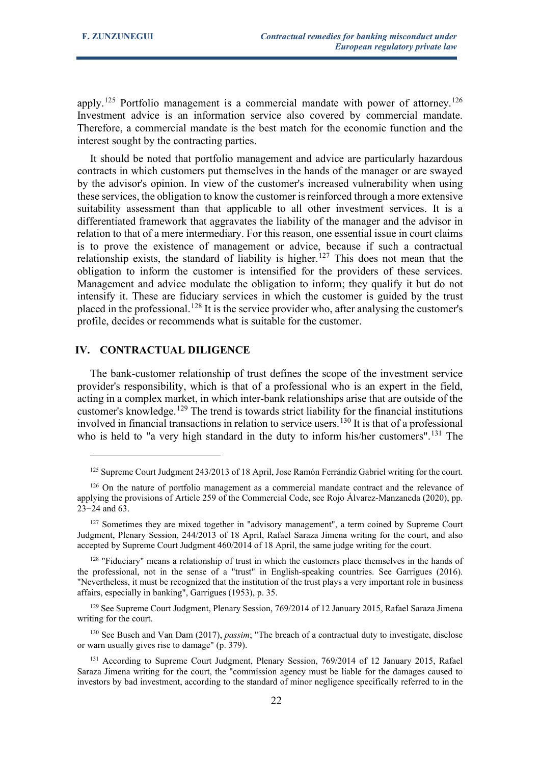apply.<sup>[125](#page-21-0)</sup> Portfolio management is a commercial mandate with power of attorney.<sup>[126](#page-21-1)</sup> Investment advice is an information service also covered by commercial mandate. Therefore, a commercial mandate is the best match for the economic function and the interest sought by the contracting parties.

It should be noted that portfolio management and advice are particularly hazardous contracts in which customers put themselves in the hands of the manager or are swayed by the advisor's opinion. In view of the customer's increased vulnerability when using these services, the obligation to know the customer is reinforced through a more extensive suitability assessment than that applicable to all other investment services. It is a differentiated framework that aggravates the liability of the manager and the advisor in relation to that of a mere intermediary. For this reason, one essential issue in court claims is to prove the existence of management or advice, because if such a contractual relationship exists, the standard of liability is higher.<sup>[127](#page-21-2)</sup> This does not mean that the obligation to inform the customer is intensified for the providers of these services. Management and advice modulate the obligation to inform; they qualify it but do not intensify it. These are fiduciary services in which the customer is guided by the trust placed in the professional.<sup>[128](#page-21-3)</sup> It is the service provider who, after analysing the customer's profile, decides or recommends what is suitable for the customer.

# **IV. CONTRACTUAL DILIGENCE**

The bank-customer relationship of trust defines the scope of the investment service provider's responsibility, which is that of a professional who is an expert in the field, acting in a complex market, in which inter-bank relationships arise that are outside of the customer's knowledge.<sup>[129](#page-21-4)</sup> The trend is towards strict liability for the financial institutions involved in financial transactions in relation to service users.<sup>[130](#page-21-5)</sup> It is that of a professional who is held to "a very high standard in the duty to inform his/her customers".<sup>[131](#page-21-6)</sup> The

<sup>&</sup>lt;sup>125</sup> Supreme Court Judgment 243/2013 of 18 April, Jose Ramón Ferrándiz Gabriel writing for the court.

<span id="page-21-1"></span><span id="page-21-0"></span><sup>&</sup>lt;sup>126</sup> On the nature of portfolio management as a commercial mandate contract and the relevance of applying the provisions of Article 259 of the Commercial Code, see Rojo Álvarez-Manzaneda (2020), pp. 23−24 and 63.

<span id="page-21-2"></span><sup>&</sup>lt;sup>127</sup> Sometimes they are mixed together in "advisory management", a term coined by Supreme Court Judgment, Plenary Session, 244/2013 of 18 April, Rafael Saraza Jimena writing for the court, and also accepted by Supreme Court Judgment 460/2014 of 18 April, the same judge writing for the court.

<span id="page-21-3"></span> $128$  "Fiduciary" means a relationship of trust in which the customers place themselves in the hands of the professional, not in the sense of a "trust" in English-speaking countries. See Garrigues (2016). "Nevertheless, it must be recognized that the institution of the trust plays a very important role in business affairs, especially in banking", Garrigues (1953), p. 35.

<span id="page-21-4"></span><sup>&</sup>lt;sup>129</sup> See Supreme Court Judgment, Plenary Session, 769/2014 of 12 January 2015, Rafael Saraza Jimena writing for the court.

<span id="page-21-5"></span><sup>130</sup> See Busch and Van Dam (2017), *passim*; "The breach of a contractual duty to investigate, disclose or warn usually gives rise to damage" (p. 379).

<span id="page-21-6"></span><sup>&</sup>lt;sup>131</sup> According to Supreme Court Judgment, Plenary Session, 769/2014 of 12 January 2015, Rafael Saraza Jimena writing for the court, the "commission agency must be liable for the damages caused to investors by bad investment, according to the standard of minor negligence specifically referred to in the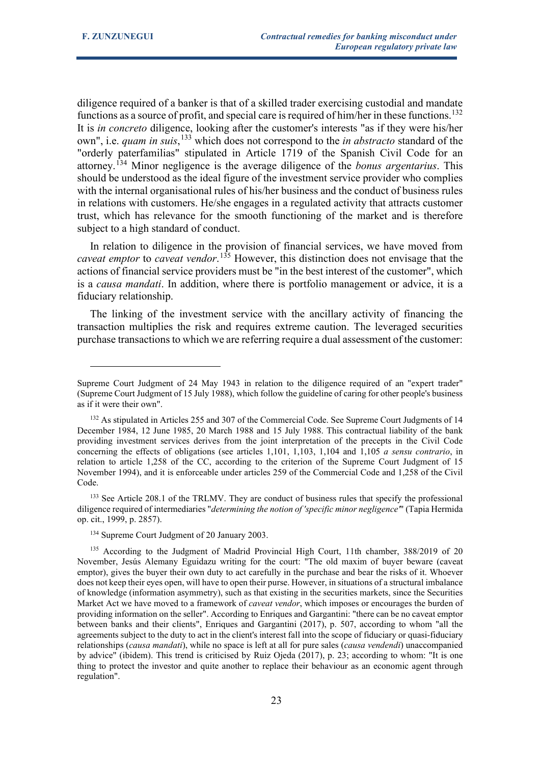diligence required of a banker is that of a skilled trader exercising custodial and mandate functions as a source of profit, and special care is required of him/her in these functions.<sup>[132](#page-22-0)</sup> It is *in concreto* diligence, looking after the customer's interests "as if they were his/her own", i.e. *quam in suis*, [133](#page-22-1) which does not correspond to the *in abstracto* standard of the "orderly paterfamilias" stipulated in Article 1719 of the Spanish Civil Code for an attorney.[134](#page-22-2) Minor negligence is the average diligence of the *bonus argentarius*. This should be understood as the ideal figure of the investment service provider who complies with the internal organisational rules of his/her business and the conduct of business rules in relations with customers. He/she engages in a regulated activity that attracts customer trust, which has relevance for the smooth functioning of the market and is therefore subject to a high standard of conduct.

In relation to diligence in the provision of financial services, we have moved from *caveat emptor* to *caveat vendor*. [135](#page-22-3) However, this distinction does not envisage that the actions of financial service providers must be "in the best interest of the customer", which is a *causa mandati*. In addition, where there is portfolio management or advice, it is a fiduciary relationship.

The linking of the investment service with the ancillary activity of financing the transaction multiplies the risk and requires extreme caution. The leveraged securities purchase transactions to which we are referring require a dual assessment of the customer:

<span id="page-22-1"></span><sup>133</sup> See Article 208.1 of the TRLMV. They are conduct of business rules that specify the professional diligence required of intermediaries "*determining the notion of 'specific minor negligence'*" (Tapia Hermida op. cit., 1999, p. 2857).

Supreme Court Judgment of 24 May 1943 in relation to the diligence required of an "expert trader" (Supreme Court Judgment of 15 July 1988), which follow the guideline of caring for other people's business as if it were their own".

<span id="page-22-0"></span><sup>&</sup>lt;sup>132</sup> As stipulated in Articles 255 and 307 of the Commercial Code. See Supreme Court Judgments of 14 December 1984, 12 June 1985, 20 March 1988 and 15 July 1988. This contractual liability of the bank providing investment services derives from the joint interpretation of the precepts in the Civil Code concerning the effects of obligations (see articles 1,101, 1,103, 1,104 and 1,105 *a sensu contrario*, in relation to article 1,258 of the CC, according to the criterion of the Supreme Court Judgment of 15 November 1994), and it is enforceable under articles 259 of the Commercial Code and 1,258 of the Civil Code.

<sup>134</sup> Supreme Court Judgment of 20 January 2003.

<span id="page-22-3"></span><span id="page-22-2"></span><sup>135</sup> According to the Judgment of Madrid Provincial High Court, 11th chamber, 388/2019 of 20 November, Jesús Alemany Eguidazu writing for the court: "The old maxim of buyer beware (caveat emptor), gives the buyer their own duty to act carefully in the purchase and bear the risks of it. Whoever does not keep their eyes open, will have to open their purse. However, in situations of a structural imbalance of knowledge (information asymmetry), such as that existing in the securities markets, since the Securities Market Act we have moved to a framework of *caveat vendor*, which imposes or encourages the burden of providing information on the seller". According to Enriques and Gargantini: "there can be no caveat emptor between banks and their clients", Enriques and Gargantini (2017), p. 507, according to whom "all the agreements subject to the duty to act in the client's interest fall into the scope of fiduciary or quasi-fiduciary relationships (*causa mandati*), while no space is left at all for pure sales (*causa vendendi*) unaccompanied by advice" (ibidem). This trend is criticised by Ruiz Ojeda (2017), p. 23; according to whom: "It is one thing to protect the investor and quite another to replace their behaviour as an economic agent through regulation".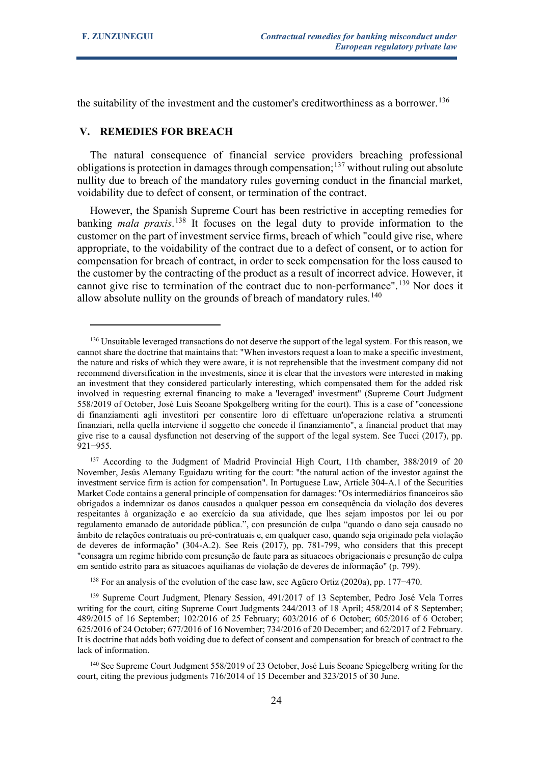the suitability of the investment and the customer's creditworthiness as a borrower.<sup>[136](#page-23-0)</sup>

## **V. REMEDIES FOR BREACH**

The natural consequence of financial service providers breaching professional obligations is protection in damages through compensation;<sup>[137](#page-23-1)</sup> without ruling out absolute nullity due to breach of the mandatory rules governing conduct in the financial market, voidability due to defect of consent, or termination of the contract.

However, the Spanish Supreme Court has been restrictive in accepting remedies for banking *mala praxis*. [138](#page-23-2) It focuses on the legal duty to provide information to the customer on the part of investment service firms, breach of which "could give rise, where appropriate, to the voidability of the contract due to a defect of consent, or to action for compensation for breach of contract, in order to seek compensation for the loss caused to the customer by the contracting of the product as a result of incorrect advice. However, it cannot give rise to termination of the contract due to non-performance".<sup>[139](#page-23-3)</sup> Nor does it allow absolute nullity on the grounds of breach of mandatory rules.<sup>[140](#page-23-4)</sup>

<span id="page-23-0"></span><sup>136</sup> Unsuitable leveraged transactions do not deserve the support of the legal system. For this reason, we cannot share the doctrine that maintains that: "When investors request a loan to make a specific investment, the nature and risks of which they were aware, it is not reprehensible that the investment company did not recommend diversification in the investments, since it is clear that the investors were interested in making an investment that they considered particularly interesting, which compensated them for the added risk involved in requesting external financing to make a 'leveraged' investment" (Supreme Court Judgment 558/2019 of October, José Luis Seoane Spokgelberg writing for the court). This is a case of "concessione di finanziamenti agli investitori per consentire loro di effettuare un'operazione relativa a strumenti finanziari, nella quella interviene il soggetto che concede il finanziamento", a financial product that may give rise to a causal dysfunction not deserving of the support of the legal system. See Tucci (2017), pp. 921−955.

<span id="page-23-1"></span><sup>&</sup>lt;sup>137</sup> According to the Judgment of Madrid Provincial High Court, 11th chamber, 388/2019 of 20 November, Jesús Alemany Eguidazu writing for the court: "the natural action of the investor against the investment service firm is action for compensation". In Portuguese Law, Article 304-A.1 of the Securities Market Code contains a general principle of compensation for damages: "Os intermediários financeiros são obrigados a indemnizar os danos causados a qualquer pessoa em consequência da violação dos deveres respeitantes à organização e ao exercício da sua atividade, que lhes sejam impostos por lei ou por regulamento emanado de autoridade pública.", con presunción de culpa "quando o dano seja causado no âmbito de relações contratuais ou pré-contratuais e, em qualquer caso, quando seja originado pela violação de deveres de informação" (304-A.2). See Reis (2017), pp. 781-799, who considers that this precept "consagra um regime hibrido com presunção de faute para as situacoes obrigacionais e presunção de culpa em sentido estrito para as situacoes aquilianas de violação de deveres de informação" (p. 799).

<sup>138</sup> For an analysis of the evolution of the case law, see Agüero Ortiz (2020a), pp. 177−470.

<span id="page-23-3"></span><span id="page-23-2"></span><sup>&</sup>lt;sup>139</sup> Supreme Court Judgment, Plenary Session, 491/2017 of 13 September, Pedro José Vela Torres writing for the court, citing Supreme Court Judgments 244/2013 of 18 April; 458/2014 of 8 September; 489/2015 of 16 September; 102/2016 of 25 February; 603/2016 of 6 October; 605/2016 of 6 October; 625/2016 of 24 October; 677/2016 of 16 November; 734/2016 of 20 December; and 62/2017 of 2 February. It is doctrine that adds both voiding due to defect of consent and compensation for breach of contract to the lack of information.

<span id="page-23-4"></span><sup>140</sup> See Supreme Court Judgment 558/2019 of 23 October, José Luis Seoane Spiegelberg writing for the court, citing the previous judgments 716/2014 of 15 December and 323/2015 of 30 June.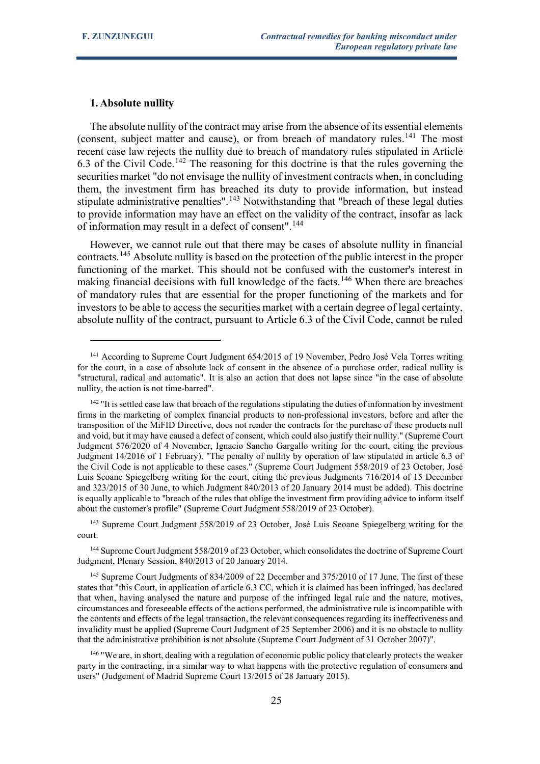## **1. Absolute nullity**

The absolute nullity of the contract may arise from the absence of its essential elements (consent, subject matter and cause), or from breach of mandatory rules.<sup>[141](#page-24-0)</sup> The most recent case law rejects the nullity due to breach of mandatory rules stipulated in Article 6.3 of the Civil Code.<sup>[142](#page-24-1)</sup> The reasoning for this doctrine is that the rules governing the securities market "do not envisage the nullity of investment contracts when, in concluding them, the investment firm has breached its duty to provide information, but instead stipulate administrative penalties".<sup>[143](#page-24-2)</sup> Notwithstanding that "breach of these legal duties to provide information may have an effect on the validity of the contract, insofar as lack of information may result in a defect of consent".<sup>[144](#page-24-3)</sup>

However, we cannot rule out that there may be cases of absolute nullity in financial contracts.[145](#page-24-4) Absolute nullity is based on the protection of the public interest in the proper functioning of the market. This should not be confused with the customer's interest in making financial decisions with full knowledge of the facts.<sup>[146](#page-24-5)</sup> When there are breaches of mandatory rules that are essential for the proper functioning of the markets and for investors to be able to access the securities market with a certain degree of legal certainty, absolute nullity of the contract, pursuant to Article 6.3 of the Civil Code, cannot be ruled

<span id="page-24-0"></span><sup>&</sup>lt;sup>141</sup> According to Supreme Court Judgment 654/2015 of 19 November, Pedro José Vela Torres writing for the court, in a case of absolute lack of consent in the absence of a purchase order, radical nullity is "structural, radical and automatic". It is also an action that does not lapse since "in the case of absolute nullity, the action is not time-barred".

<span id="page-24-1"></span><sup>&</sup>lt;sup>142</sup> "It is settled case law that breach of the regulations stipulating the duties of information by investment firms in the marketing of complex financial products to non-professional investors, before and after the transposition of the MiFID Directive, does not render the contracts for the purchase of these products null and void, but it may have caused a defect of consent, which could also justify their nullity." (Supreme Court Judgment 576/2020 of 4 November, Ignacio Sancho Gargallo writing for the court, citing the previous Judgment 14/2016 of 1 February). "The penalty of nullity by operation of law stipulated in article 6.3 of the Civil Code is not applicable to these cases." (Supreme Court Judgment 558/2019 of 23 October, José Luis Seoane Spiegelberg writing for the court, citing the previous Judgments 716/2014 of 15 December and 323/2015 of 30 June, to which Judgment 840/2013 of 20 January 2014 must be added). This doctrine is equally applicable to "breach of the rules that oblige the investment firm providing advice to inform itself about the customer's profile" (Supreme Court Judgment 558/2019 of 23 October).

<span id="page-24-2"></span><sup>&</sup>lt;sup>143</sup> Supreme Court Judgment 558/2019 of 23 October, José Luis Seoane Spiegelberg writing for the court.

<span id="page-24-3"></span><sup>&</sup>lt;sup>144</sup> Supreme Court Judgment 558/2019 of 23 October, which consolidates the doctrine of Supreme Court Judgment, Plenary Session, 840/2013 of 20 January 2014.

<span id="page-24-4"></span><sup>&</sup>lt;sup>145</sup> Supreme Court Judgments of 834/2009 of 22 December and 375/2010 of 17 June. The first of these states that "this Court, in application of article 6.3 CC, which it is claimed has been infringed, has declared that when, having analysed the nature and purpose of the infringed legal rule and the nature, motives, circumstances and foreseeable effects of the actions performed, the administrative rule is incompatible with the contents and effects of the legal transaction, the relevant consequences regarding its ineffectiveness and invalidity must be applied (Supreme Court Judgment of 25 September 2006) and it is no obstacle to nullity that the administrative prohibition is not absolute (Supreme Court Judgment of 31 October 2007)".

<span id="page-24-5"></span><sup>146</sup> "We are, in short, dealing with a regulation of economic public policy that clearly protects the weaker party in the contracting, in a similar way to what happens with the protective regulation of consumers and users" (Judgement of Madrid Supreme Court 13/2015 of 28 January 2015).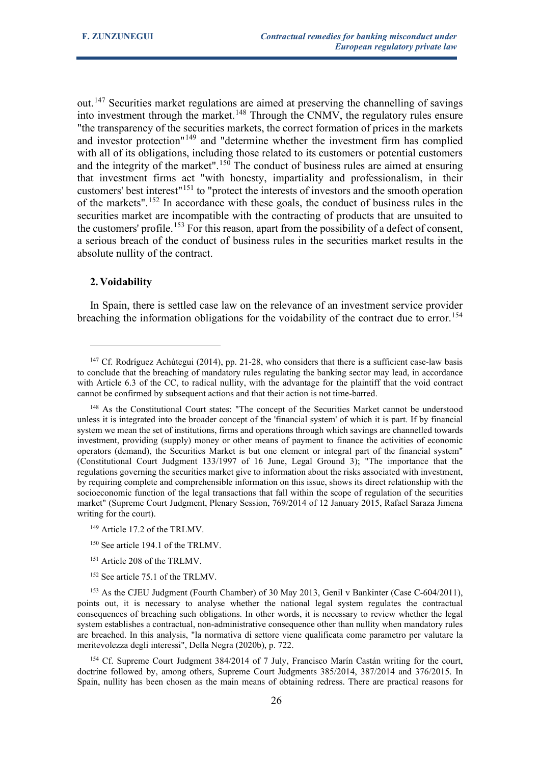out.<sup>[147](#page-25-0)</sup> Securities market regulations are aimed at preserving the channelling of savings into investment through the market.<sup>[148](#page-25-1)</sup> Through the CNMV, the regulatory rules ensure "the transparency of the securities markets, the correct formation of prices in the markets and investor protection"[149](#page-25-2) and "determine whether the investment firm has complied with all of its obligations, including those related to its customers or potential customers and the integrity of the market".<sup>[150](#page-25-3)</sup> The conduct of business rules are aimed at ensuring that investment firms act "with honesty, impartiality and professionalism, in their customers' best interest"[151](#page-25-4) to "protect the interests of investors and the smooth operation of the markets".[152](#page-25-5) In accordance with these goals, the conduct of business rules in the securities market are incompatible with the contracting of products that are unsuited to the customers' profile.<sup>[153](#page-25-6)</sup> For this reason, apart from the possibility of a defect of consent, a serious breach of the conduct of business rules in the securities market results in the absolute nullity of the contract.

#### **2. Voidability**

In Spain, there is settled case law on the relevance of an investment service provider breaching the information obligations for the voidability of the contract due to error.<sup>[154](#page-25-7)</sup>

- <sup>151</sup> Article 208 of the TRLMV.
- <sup>152</sup> See article 75.1 of the TRLMV.

<span id="page-25-7"></span><sup>154</sup> Cf. Supreme Court Judgment 384/2014 of 7 July, Francisco Marín Castán writing for the court, doctrine followed by, among others, Supreme Court Judgments 385/2014, 387/2014 and 376/2015. In Spain, nullity has been chosen as the main means of obtaining redress. There are practical reasons for

<span id="page-25-0"></span><sup>&</sup>lt;sup>147</sup> Cf. Rodríguez Achútegui (2014), pp. 21-28, who considers that there is a sufficient case-law basis to conclude that the breaching of mandatory rules regulating the banking sector may lead, in accordance with Article 6.3 of the CC, to radical nullity, with the advantage for the plaintiff that the void contract cannot be confirmed by subsequent actions and that their action is not time-barred.

<span id="page-25-1"></span><sup>&</sup>lt;sup>148</sup> As the Constitutional Court states: "The concept of the Securities Market cannot be understood unless it is integrated into the broader concept of the 'financial system' of which it is part. If by financial system we mean the set of institutions, firms and operations through which savings are channelled towards investment, providing (supply) money or other means of payment to finance the activities of economic operators (demand), the Securities Market is but one element or integral part of the financial system" (Constitutional Court Judgment 133/1997 of 16 June, Legal Ground 3); "The importance that the regulations governing the securities market give to information about the risks associated with investment, by requiring complete and comprehensible information on this issue, shows its direct relationship with the socioeconomic function of the legal transactions that fall within the scope of regulation of the securities market" (Supreme Court Judgment, Plenary Session, 769/2014 of 12 January 2015, Rafael Saraza Jimena writing for the court).

<span id="page-25-2"></span><sup>149</sup> Article 17.2 of the TRLMV.

<sup>&</sup>lt;sup>150</sup> See article 194.1 of the TRLMV.

<span id="page-25-6"></span><span id="page-25-5"></span><span id="page-25-4"></span><span id="page-25-3"></span><sup>153</sup> As the CJEU Judgment (Fourth Chamber) of 30 May 2013, Genil v Bankinter (Case C-604/2011), points out, it is necessary to analyse whether the national legal system regulates the contractual consequences of breaching such obligations. In other words, it is necessary to review whether the legal system establishes a contractual, non-administrative consequence other than nullity when mandatory rules are breached. In this analysis, "la normativa di settore viene qualificata come parametro per valutare la meritevolezza degli interessi", Della Negra (2020b), p. 722.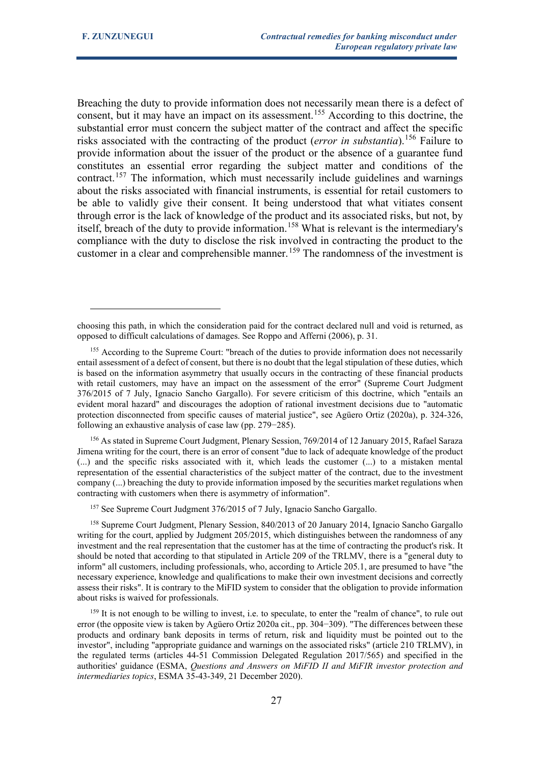Breaching the duty to provide information does not necessarily mean there is a defect of consent, but it may have an impact on its assessment.<sup>[155](#page-26-0)</sup> According to this doctrine, the substantial error must concern the subject matter of the contract and affect the specific risks associated with the contracting of the product (*error in substantia*).[156](#page-26-1) Failure to provide information about the issuer of the product or the absence of a guarantee fund constitutes an essential error regarding the subject matter and conditions of the contract.[157](#page-26-2) The information, which must necessarily include guidelines and warnings about the risks associated with financial instruments, is essential for retail customers to be able to validly give their consent. It being understood that what vitiates consent through error is the lack of knowledge of the product and its associated risks, but not, by itself, breach of the duty to provide information.<sup>[158](#page-26-3)</sup> What is relevant is the intermediary's compliance with the duty to disclose the risk involved in contracting the product to the customer in a clear and comprehensible manner.<sup>[159](#page-26-4)</sup> The randomness of the investment is

<span id="page-26-1"></span><sup>156</sup> As stated in Supreme Court Judgment, Plenary Session, 769/2014 of 12 January 2015, Rafael Saraza Jimena writing for the court, there is an error of consent "due to lack of adequate knowledge of the product (...) and the specific risks associated with it, which leads the customer (...) to a mistaken mental representation of the essential characteristics of the subject matter of the contract, due to the investment company (...) breaching the duty to provide information imposed by the securities market regulations when contracting with customers when there is asymmetry of information".

<sup>157</sup> See Supreme Court Judgment 376/2015 of 7 July, Ignacio Sancho Gargallo.

<span id="page-26-3"></span><span id="page-26-2"></span><sup>158</sup> Supreme Court Judgment, Plenary Session, 840/2013 of 20 January 2014, Ignacio Sancho Gargallo writing for the court, applied by Judgment 205/2015, which distinguishes between the randomness of any investment and the real representation that the customer has at the time of contracting the product's risk. It should be noted that according to that stipulated in Article 209 of the TRLMV, there is a "general duty to inform" all customers, including professionals, who, according to Article 205.1, are presumed to have "the necessary experience, knowledge and qualifications to make their own investment decisions and correctly assess their risks". It is contrary to the MiFID system to consider that the obligation to provide information about risks is waived for professionals.

<span id="page-26-4"></span><sup>159</sup> It is not enough to be willing to invest, i.e. to speculate, to enter the "realm of chance", to rule out error (the opposite view is taken by Agüero Ortiz 2020a cit., pp. 304−309). "The differences between these products and ordinary bank deposits in terms of return, risk and liquidity must be pointed out to the investor", including "appropriate guidance and warnings on the associated risks" (article 210 TRLMV), in the regulated terms (articles 44-51 Commission Delegated Regulation 2017/565) and specified in the authorities' guidance (ESMA, *Questions and Answers on MiFID II and MiFIR investor protection and intermediaries topics*, ESMA 35-43-349, 21 December 2020).

choosing this path, in which the consideration paid for the contract declared null and void is returned, as opposed to difficult calculations of damages. See Roppo and Afferni (2006), p. 31.

<span id="page-26-0"></span><sup>&</sup>lt;sup>155</sup> According to the Supreme Court: "breach of the duties to provide information does not necessarily entail assessment of a defect of consent, but there is no doubt that the legal stipulation of these duties, which is based on the information asymmetry that usually occurs in the contracting of these financial products with retail customers, may have an impact on the assessment of the error" (Supreme Court Judgment 376/2015 of 7 July, Ignacio Sancho Gargallo). For severe criticism of this doctrine, which "entails an evident moral hazard" and discourages the adoption of rational investment decisions due to "automatic protection disconnected from specific causes of material justice", see Agüero Ortiz (2020a), p. 324-326, following an exhaustive analysis of case law (pp. 279−285).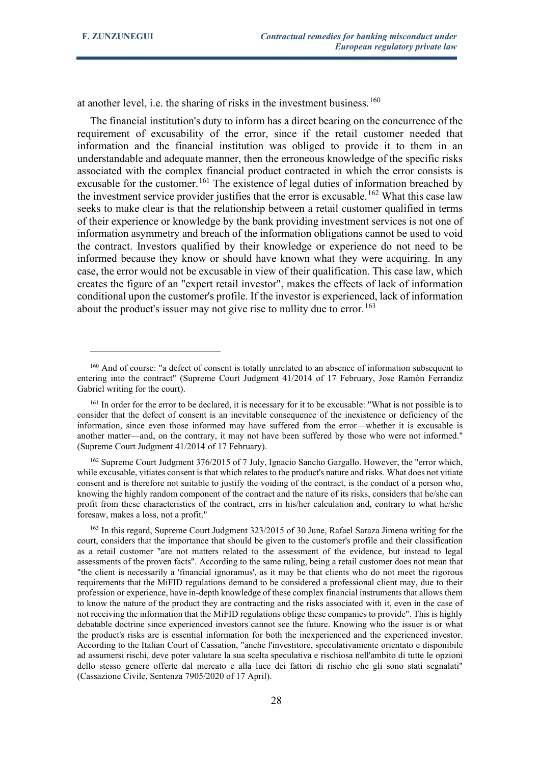at another level, i.e. the sharing of risks in the investment business.<sup>[160](#page-27-0)</sup>

The financial institution's duty to inform has a direct bearing on the concurrence of the requirement of excusability of the error, since if the retail customer needed that information and the financial institution was obliged to provide it to them in an understandable and adequate manner, then the erroneous knowledge of the specific risks associated with the complex financial product contracted in which the error consists is excusable for the customer.<sup>[161](#page-27-1)</sup> The existence of legal duties of information breached by the investment service provider justifies that the error is excusable.<sup>[162](#page-27-2)</sup> What this case law seeks to make clear is that the relationship between a retail customer qualified in terms of their experience or knowledge by the bank providing investment services is not one of information asymmetry and breach of the information obligations cannot be used to void the contract. Investors qualified by their knowledge or experience do not need to be informed because they know or should have known what they were acquiring. In any case, the error would not be excusable in view of their qualification. This case law, which creates the figure of an "expert retail investor", makes the effects of lack of information conditional upon the customer's profile. If the investor is experienced, lack of information about the product's issuer may not give rise to nullity due to error.<sup>[163](#page-27-3)</sup>

<span id="page-27-0"></span><sup>&</sup>lt;sup>160</sup> And of course: "a defect of consent is totally unrelated to an absence of information subsequent to entering into the contract" (Supreme Court Judgment 41/2014 of 17 February, Jose Ramón Ferrandiz Gabriel writing for the court).

<span id="page-27-1"></span><sup>161</sup> In order for the error to be declared, it is necessary for it to be excusable: "What is not possible is to consider that the defect of consent is an inevitable consequence of the inexistence or deficiency of the information, since even those informed may have suffered from the error—whether it is excusable is another matter—and, on the contrary, it may not have been suffered by those who were not informed." (Supreme Court Judgment 41/2014 of 17 February).

<span id="page-27-2"></span><sup>&</sup>lt;sup>162</sup> Supreme Court Judgment 376/2015 of 7 July, Ignacio Sancho Gargallo. However, the "error which, while excusable, vitiates consent is that which relates to the product's nature and risks. What does not vitiate consent and is therefore not suitable to justify the voiding of the contract, is the conduct of a person who, knowing the highly random component of the contract and the nature of its risks, considers that he/she can profit from these characteristics of the contract, errs in his/her calculation and, contrary to what he/she foresaw, makes a loss, not a profit."

<span id="page-27-3"></span><sup>&</sup>lt;sup>163</sup> In this regard, Supreme Court Judgment 323/2015 of 30 June, Rafael Saraza Jimena writing for the court, considers that the importance that should be given to the customer's profile and their classification as a retail customer "are not matters related to the assessment of the evidence, but instead to legal assessments of the proven facts". According to the same ruling, being a retail customer does not mean that "the client is necessarily a 'financial ignoramus', as it may be that clients who do not meet the rigorous requirements that the MiFID regulations demand to be considered a professional client may, due to their profession or experience, have in-depth knowledge of these complex financial instruments that allows them to know the nature of the product they are contracting and the risks associated with it, even in the case of not receiving the information that the MiFID regulations oblige these companies to provide". This is highly debatable doctrine since experienced investors cannot see the future. Knowing who the issuer is or what the product's risks are is essential information for both the inexperienced and the experienced investor. According to the Italian Court of Cassation, "anche l'investitore, speculativamente orientato e disponibile ad assumersi rischi, deve poter valutare la sua scelta speculativa e rischiosa nell'ambito di tutte le opzioni dello stesso genere offerte dal mercato e alla luce dei fattori di rischio che gli sono stati segnalati" (Cassazione Civile, Sentenza 7905/2020 of 17 April).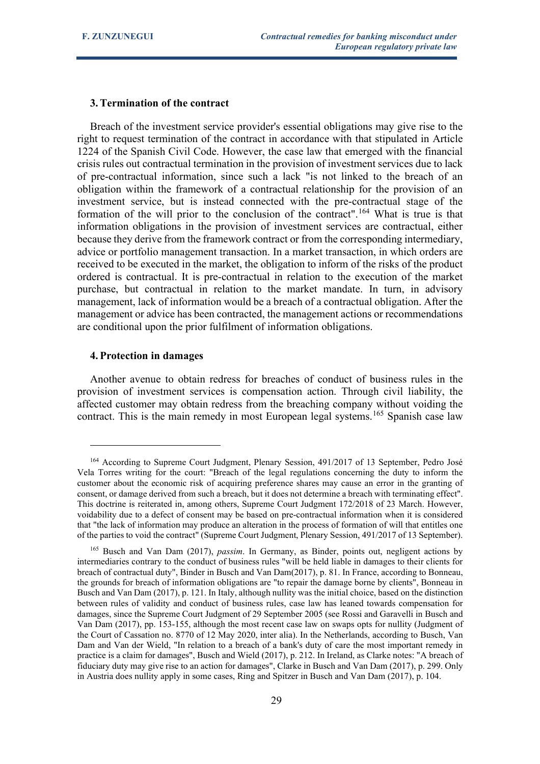# **3.Termination of the contract**

Breach of the investment service provider's essential obligations may give rise to the right to request termination of the contract in accordance with that stipulated in Article 1224 of the Spanish Civil Code. However, the case law that emerged with the financial crisis rules out contractual termination in the provision of investment services due to lack of pre-contractual information, since such a lack "is not linked to the breach of an obligation within the framework of a contractual relationship for the provision of an investment service, but is instead connected with the pre-contractual stage of the formation of the will prior to the conclusion of the contract".<sup>[164](#page-28-0)</sup> What is true is that information obligations in the provision of investment services are contractual, either because they derive from the framework contract or from the corresponding intermediary, advice or portfolio management transaction. In a market transaction, in which orders are received to be executed in the market, the obligation to inform of the risks of the product ordered is contractual. It is pre-contractual in relation to the execution of the market purchase, but contractual in relation to the market mandate. In turn, in advisory management, lack of information would be a breach of a contractual obligation. After the management or advice has been contracted, the management actions or recommendations are conditional upon the prior fulfilment of information obligations.

# **4.Protection in damages**

Another avenue to obtain redress for breaches of conduct of business rules in the provision of investment services is compensation action. Through civil liability, the affected customer may obtain redress from the breaching company without voiding the contract. This is the main remedy in most European legal systems.<sup>[165](#page-28-1)</sup> Spanish case law

<span id="page-28-0"></span><sup>&</sup>lt;sup>164</sup> According to Supreme Court Judgment, Plenary Session, 491/2017 of 13 September, Pedro José Vela Torres writing for the court: "Breach of the legal regulations concerning the duty to inform the customer about the economic risk of acquiring preference shares may cause an error in the granting of consent, or damage derived from such a breach, but it does not determine a breach with terminating effect". This doctrine is reiterated in, among others, Supreme Court Judgment 172/2018 of 23 March. However, voidability due to a defect of consent may be based on pre-contractual information when it is considered that "the lack of information may produce an alteration in the process of formation of will that entitles one of the parties to void the contract" (Supreme Court Judgment, Plenary Session, 491/2017 of 13 September).

<span id="page-28-1"></span><sup>165</sup> Busch and Van Dam (2017), *passim*. In Germany, as Binder, points out, negligent actions by intermediaries contrary to the conduct of business rules "will be held liable in damages to their clients for breach of contractual duty", Binder in Busch and Van Dam(2017), p. 81. In France, according to Bonneau, the grounds for breach of information obligations are "to repair the damage borne by clients", Bonneau in Busch and Van Dam (2017), p. 121. In Italy, although nullity was the initial choice, based on the distinction between rules of validity and conduct of business rules, case law has leaned towards compensation for damages, since the Supreme Court Judgment of 29 September 2005 (see Rossi and Garavelli in Busch and Van Dam (2017), pp. 153-155, although the most recent case law on swaps opts for nullity (Judgment of the Court of Cassation no. 8770 of 12 May 2020, inter alia). In the Netherlands, according to Busch, Van Dam and Van der Wield, "In relation to a breach of a bank's duty of care the most important remedy in practice is a claim for damages", Busch and Wield (2017), p. 212. In Ireland, as Clarke notes: "A breach of fiduciary duty may give rise to an action for damages", Clarke in Busch and Van Dam (2017), p. 299. Only in Austria does nullity apply in some cases, Ring and Spitzer in Busch and Van Dam (2017), p. 104.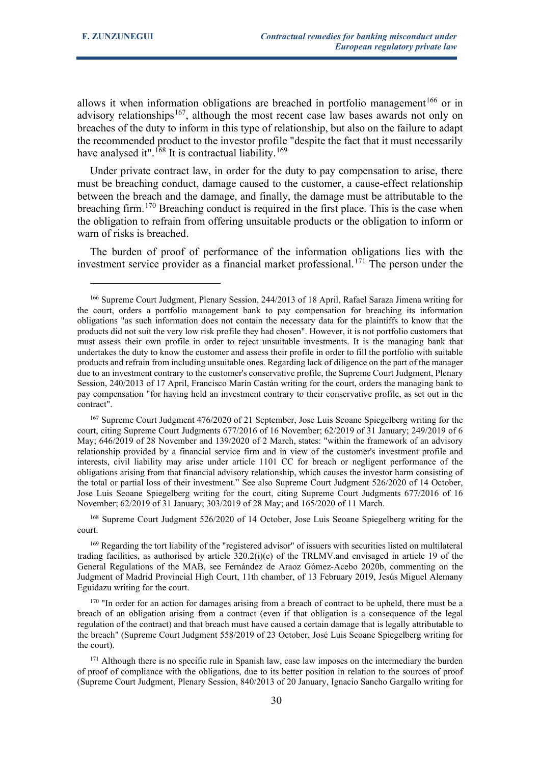allows it when information obligations are breached in portfolio management<sup>[166](#page-29-0)</sup> or in advisory relationships<sup>167</sup>, although the most recent case law bases awards not only on breaches of the duty to inform in this type of relationship, but also on the failure to adapt the recommended product to the investor profile "despite the fact that it must necessarily have analysed it".<sup>[168](#page-29-2)</sup> It is contractual liability.<sup>[169](#page-29-3)</sup>

Under private contract law, in order for the duty to pay compensation to arise, there must be breaching conduct, damage caused to the customer, a cause-effect relationship between the breach and the damage, and finally, the damage must be attributable to the breaching firm.<sup>[170](#page-29-4)</sup> Breaching conduct is required in the first place. This is the case when the obligation to refrain from offering unsuitable products or the obligation to inform or warn of risks is breached.

The burden of proof of performance of the information obligations lies with the investment service provider as a financial market professional.<sup>[171](#page-29-5)</sup> The person under the

<span id="page-29-1"></span><sup>167</sup> Supreme Court Judgment 476/2020 of 21 September, Jose Luis Seoane Spiegelberg writing for the court, citing Supreme Court Judgments 677/2016 of 16 November; 62/2019 of 31 January; 249/2019 of 6 May; 646/2019 of 28 November and 139/2020 of 2 March, states: "within the framework of an advisory relationship provided by a financial service firm and in view of the customer's investment profile and interests, civil liability may arise under article 1101 CC for breach or negligent performance of the obligations arising from that financial advisory relationship, which causes the investor harm consisting of the total or partial loss of their investment." See also Supreme Court Judgment 526/2020 of 14 October, Jose Luis Seoane Spiegelberg writing for the court, citing Supreme Court Judgments 677/2016 of 16 November; 62/2019 of 31 January; 303/2019 of 28 May; and 165/2020 of 11 March.

<span id="page-29-2"></span><sup>168</sup> Supreme Court Judgment 526/2020 of 14 October, Jose Luis Seoane Spiegelberg writing for the court.

<span id="page-29-3"></span><sup>169</sup> Regarding the tort liability of the "registered advisor" of issuers with securities listed on multilateral trading facilities, as authorised by article  $320.2(i)(e)$  of the TRLMV.and envisaged in article 19 of the General Regulations of the MAB, see Fernández de Araoz Gómez-Acebo 2020b, commenting on the Judgment of Madrid Provincial High Court, 11th chamber, of 13 February 2019, Jesús Miguel Alemany Eguidazu writing for the court.

<span id="page-29-4"></span> $170$  "In order for an action for damages arising from a breach of contract to be upheld, there must be a breach of an obligation arising from a contract (even if that obligation is a consequence of the legal regulation of the contract) and that breach must have caused a certain damage that is legally attributable to the breach" (Supreme Court Judgment 558/2019 of 23 October, José Luis Seoane Spiegelberg writing for the court).

<span id="page-29-5"></span><sup>171</sup> Although there is no specific rule in Spanish law, case law imposes on the intermediary the burden of proof of compliance with the obligations, due to its better position in relation to the sources of proof (Supreme Court Judgment, Plenary Session, 840/2013 of 20 January, Ignacio Sancho Gargallo writing for

<span id="page-29-0"></span><sup>166</sup> Supreme Court Judgment, Plenary Session, 244/2013 of 18 April, Rafael Saraza Jimena writing for the court, orders a portfolio management bank to pay compensation for breaching its information obligations "as such information does not contain the necessary data for the plaintiffs to know that the products did not suit the very low risk profile they had chosen". However, it is not portfolio customers that must assess their own profile in order to reject unsuitable investments. It is the managing bank that undertakes the duty to know the customer and assess their profile in order to fill the portfolio with suitable products and refrain from including unsuitable ones. Regarding lack of diligence on the part of the manager due to an investment contrary to the customer's conservative profile, the Supreme Court Judgment, Plenary Session, 240/2013 of 17 April, Francisco Marín Castán writing for the court, orders the managing bank to pay compensation "for having held an investment contrary to their conservative profile, as set out in the contract".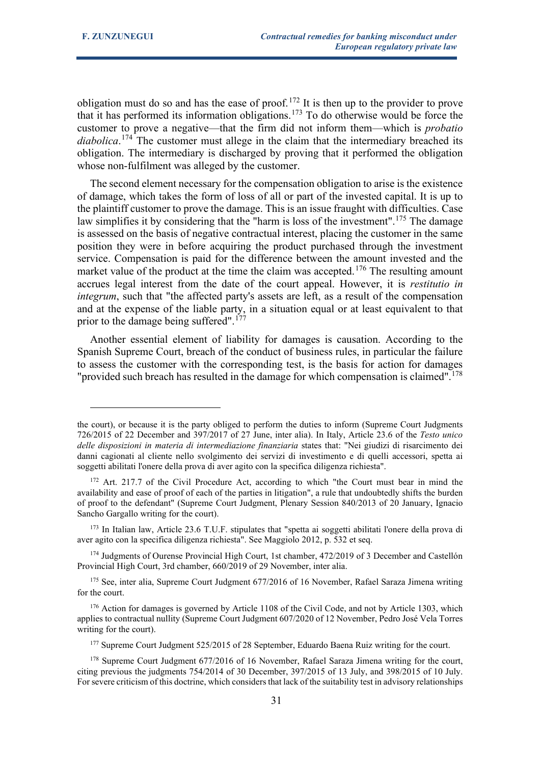obligation must do so and has the ease of proof.<sup>[172](#page-30-0)</sup> It is then up to the provider to prove that it has performed its information obligations.[173](#page-30-1) To do otherwise would be force the customer to prove a negative—that the firm did not inform them—which is *probatio diabolica*. [174](#page-30-2) The customer must allege in the claim that the intermediary breached its obligation. The intermediary is discharged by proving that it performed the obligation whose non-fulfilment was alleged by the customer.

The second element necessary for the compensation obligation to arise is the existence of damage, which takes the form of loss of all or part of the invested capital. It is up to the plaintiff customer to prove the damage. This is an issue fraught with difficulties. Case law simplifies it by considering that the "harm is loss of the investment".<sup>[175](#page-30-3)</sup> The damage is assessed on the basis of negative contractual interest, placing the customer in the same position they were in before acquiring the product purchased through the investment service. Compensation is paid for the difference between the amount invested and the market value of the product at the time the claim was accepted.<sup>[176](#page-30-4)</sup> The resulting amount accrues legal interest from the date of the court appeal. However, it is *restitutio in integrum*, such that "the affected party's assets are left, as a result of the compensation and at the expense of the liable party, in a situation equal or at least equivalent to that prior to the damage being suffered".<sup>[177](#page-30-5)</sup>

Another essential element of liability for damages is causation. According to the Spanish Supreme Court, breach of the conduct of business rules, in particular the failure to assess the customer with the corresponding test, is the basis for action for damages "provided such breach has resulted in the damage for which compensation is claimed".<sup>[178](#page-30-6)</sup>

the court), or because it is the party obliged to perform the duties to inform (Supreme Court Judgments 726/2015 of 22 December and 397/2017 of 27 June, inter alia). In Italy, Article 23.6 of the *Testo unico delle disposizioni in materia di intermediazione finanziaria* states that: "Nei giudizi di risarcimento dei danni cagionati al cliente nello svolgimento dei servizi di investimento e di quelli accessori, spetta ai soggetti abilitati l'onere della prova di aver agito con la specifica diligenza richiesta".

<span id="page-30-0"></span><sup>&</sup>lt;sup>172</sup> Art. 217.7 of the Civil Procedure Act, according to which "the Court must bear in mind the availability and ease of proof of each of the parties in litigation", a rule that undoubtedly shifts the burden of proof to the defendant" (Supreme Court Judgment, Plenary Session 840/2013 of 20 January, Ignacio Sancho Gargallo writing for the court).

<span id="page-30-1"></span><sup>173</sup> In Italian law, Article 23.6 T.U.F. stipulates that "spetta ai soggetti abilitati l'onere della prova di aver agito con la specifica diligenza richiesta". See Maggiolo 2012, p. 532 et seq.

<span id="page-30-2"></span><sup>&</sup>lt;sup>174</sup> Judgments of Ourense Provincial High Court, 1st chamber, 472/2019 of 3 December and Castellón Provincial High Court, 3rd chamber, 660/2019 of 29 November, inter alia.

<span id="page-30-3"></span><sup>&</sup>lt;sup>175</sup> See, inter alia, Supreme Court Judgment 677/2016 of 16 November, Rafael Saraza Jimena writing for the court.

<span id="page-30-4"></span><sup>&</sup>lt;sup>176</sup> Action for damages is governed by Article 1108 of the Civil Code, and not by Article 1303, which applies to contractual nullity (Supreme Court Judgment 607/2020 of 12 November, Pedro José Vela Torres writing for the court).

<sup>&</sup>lt;sup>177</sup> Supreme Court Judgment 525/2015 of 28 September, Eduardo Baena Ruiz writing for the court.

<span id="page-30-6"></span><span id="page-30-5"></span><sup>&</sup>lt;sup>178</sup> Supreme Court Judgment 677/2016 of 16 November, Rafael Saraza Jimena writing for the court, citing previous the judgments 754/2014 of 30 December, 397/2015 of 13 July, and 398/2015 of 10 July. For severe criticism of this doctrine, which considers that lack of the suitability test in advisory relationships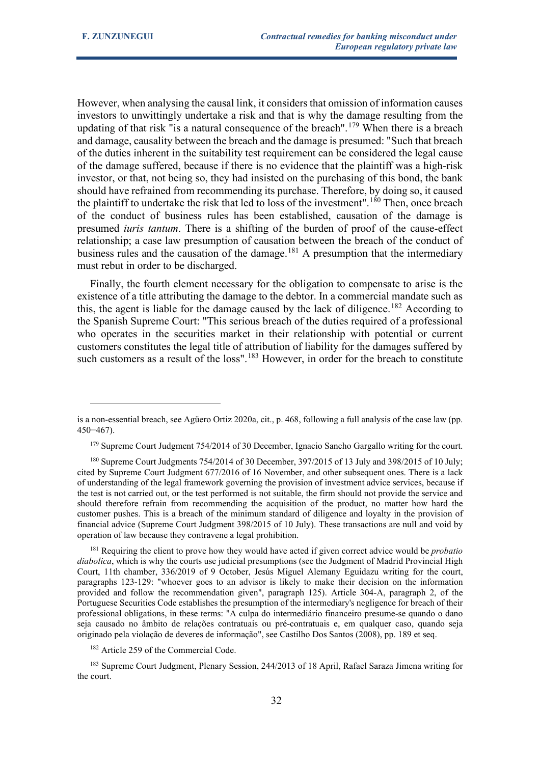However, when analysing the causal link, it considers that omission of information causes investors to unwittingly undertake a risk and that is why the damage resulting from the updating of that risk "is a natural consequence of the breach".<sup>[179](#page-31-0)</sup> When there is a breach and damage, causality between the breach and the damage is presumed: "Such that breach of the duties inherent in the suitability test requirement can be considered the legal cause of the damage suffered, because if there is no evidence that the plaintiff was a high-risk investor, or that, not being so, they had insisted on the purchasing of this bond, the bank should have refrained from recommending its purchase. Therefore, by doing so, it caused the plaintiff to undertake the risk that led to loss of the investment".<sup>[180](#page-31-1)</sup> Then, once breach of the conduct of business rules has been established, causation of the damage is presumed *iuris tantum*. There is a shifting of the burden of proof of the cause-effect relationship; a case law presumption of causation between the breach of the conduct of business rules and the causation of the damage.<sup>[181](#page-31-2)</sup> A presumption that the intermediary must rebut in order to be discharged.

Finally, the fourth element necessary for the obligation to compensate to arise is the existence of a title attributing the damage to the debtor. In a commercial mandate such as this, the agent is liable for the damage caused by the lack of diligence.<sup>[182](#page-31-3)</sup> According to the Spanish Supreme Court: "This serious breach of the duties required of a professional who operates in the securities market in their relationship with potential or current customers constitutes the legal title of attribution of liability for the damages suffered by such customers as a result of the loss".<sup>[183](#page-31-4)</sup> However, in order for the breach to constitute

is a non-essential breach, see Agüero Ortiz 2020a, cit., p. 468, following a full analysis of the case law (pp. 450−467).

<sup>&</sup>lt;sup>179</sup> Supreme Court Judgment 754/2014 of 30 December, Ignacio Sancho Gargallo writing for the court.

<span id="page-31-1"></span><span id="page-31-0"></span><sup>&</sup>lt;sup>180</sup> Supreme Court Judgments 754/2014 of 30 December, 397/2015 of 13 July and 398/2015 of 10 July; cited by Supreme Court Judgment 677/2016 of 16 November, and other subsequent ones. There is a lack of understanding of the legal framework governing the provision of investment advice services, because if the test is not carried out, or the test performed is not suitable, the firm should not provide the service and should therefore refrain from recommending the acquisition of the product, no matter how hard the customer pushes. This is a breach of the minimum standard of diligence and loyalty in the provision of financial advice (Supreme Court Judgment 398/2015 of 10 July). These transactions are null and void by operation of law because they contravene a legal prohibition.

<span id="page-31-2"></span><sup>181</sup> Requiring the client to prove how they would have acted if given correct advice would be *probatio diabolica*, which is why the courts use judicial presumptions (see the Judgment of Madrid Provincial High Court, 11th chamber, 336/2019 of 9 October, Jesús Miguel Alemany Eguidazu writing for the court, paragraphs 123-129: "whoever goes to an advisor is likely to make their decision on the information provided and follow the recommendation given", paragraph 125). Article 304-A, paragraph 2, of the Portuguese Securities Code establishes the presumption of the intermediary's negligence for breach of their professional obligations, in these terms: "A culpa do intermediário financeiro presume-se quando o dano seja causado no âmbito de relações contratuais ou pré-contratuais e, em qualquer caso, quando seja originado pela violação de deveres de informação", see Castilho Dos Santos (2008), pp. 189 et seq.

<sup>&</sup>lt;sup>182</sup> Article 259 of the Commercial Code.

<span id="page-31-4"></span><span id="page-31-3"></span><sup>&</sup>lt;sup>183</sup> Supreme Court Judgment, Plenary Session, 244/2013 of 18 April, Rafael Saraza Jimena writing for the court.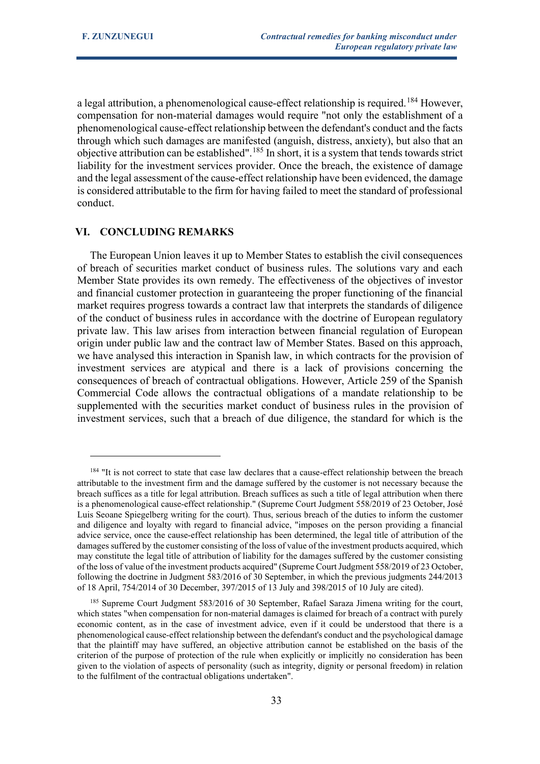a legal attribution, a phenomenological cause-effect relationship is required.<sup>[184](#page-32-0)</sup> However, compensation for non-material damages would require "not only the establishment of a phenomenological cause-effect relationship between the defendant's conduct and the facts through which such damages are manifested (anguish, distress, anxiety), but also that an objective attribution can be established".[185](#page-32-1) In short, it is a system that tends towards strict liability for the investment services provider. Once the breach, the existence of damage and the legal assessment of the cause-effect relationship have been evidenced, the damage is considered attributable to the firm for having failed to meet the standard of professional conduct.

#### **VI. CONCLUDING REMARKS**

The European Union leaves it up to Member States to establish the civil consequences of breach of securities market conduct of business rules. The solutions vary and each Member State provides its own remedy. The effectiveness of the objectives of investor and financial customer protection in guaranteeing the proper functioning of the financial market requires progress towards a contract law that interprets the standards of diligence of the conduct of business rules in accordance with the doctrine of European regulatory private law. This law arises from interaction between financial regulation of European origin under public law and the contract law of Member States. Based on this approach, we have analysed this interaction in Spanish law, in which contracts for the provision of investment services are atypical and there is a lack of provisions concerning the consequences of breach of contractual obligations. However, Article 259 of the Spanish Commercial Code allows the contractual obligations of a mandate relationship to be supplemented with the securities market conduct of business rules in the provision of investment services, such that a breach of due diligence, the standard for which is the

<span id="page-32-0"></span><sup>&</sup>lt;sup>184</sup> "It is not correct to state that case law declares that a cause-effect relationship between the breach attributable to the investment firm and the damage suffered by the customer is not necessary because the breach suffices as a title for legal attribution. Breach suffices as such a title of legal attribution when there is a phenomenological cause-effect relationship." (Supreme Court Judgment 558/2019 of 23 October, José Luis Seoane Spiegelberg writing for the court). Thus, serious breach of the duties to inform the customer and diligence and loyalty with regard to financial advice, "imposes on the person providing a financial advice service, once the cause-effect relationship has been determined, the legal title of attribution of the damages suffered by the customer consisting of the loss of value of the investment products acquired, which may constitute the legal title of attribution of liability for the damages suffered by the customer consisting of the loss of value of the investment products acquired" (Supreme Court Judgment 558/2019 of 23 October, following the doctrine in Judgment 583/2016 of 30 September, in which the previous judgments 244/2013 of 18 April, 754/2014 of 30 December, 397/2015 of 13 July and 398/2015 of 10 July are cited).

<span id="page-32-1"></span><sup>&</sup>lt;sup>185</sup> Supreme Court Judgment 583/2016 of 30 September, Rafael Saraza Jimena writing for the court, which states "when compensation for non-material damages is claimed for breach of a contract with purely economic content, as in the case of investment advice, even if it could be understood that there is a phenomenological cause-effect relationship between the defendant's conduct and the psychological damage that the plaintiff may have suffered, an objective attribution cannot be established on the basis of the criterion of the purpose of protection of the rule when explicitly or implicitly no consideration has been given to the violation of aspects of personality (such as integrity, dignity or personal freedom) in relation to the fulfilment of the contractual obligations undertaken".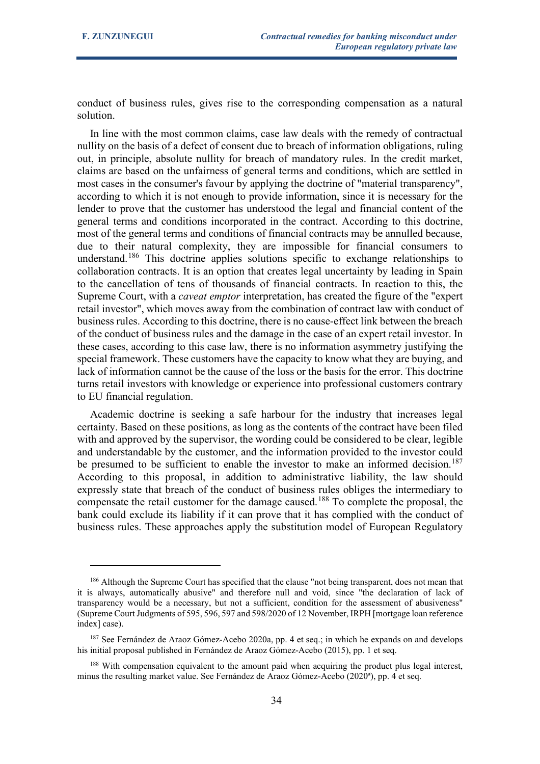conduct of business rules, gives rise to the corresponding compensation as a natural solution.

In line with the most common claims, case law deals with the remedy of contractual nullity on the basis of a defect of consent due to breach of information obligations, ruling out, in principle, absolute nullity for breach of mandatory rules. In the credit market, claims are based on the unfairness of general terms and conditions, which are settled in most cases in the consumer's favour by applying the doctrine of "material transparency", according to which it is not enough to provide information, since it is necessary for the lender to prove that the customer has understood the legal and financial content of the general terms and conditions incorporated in the contract. According to this doctrine, most of the general terms and conditions of financial contracts may be annulled because, due to their natural complexity, they are impossible for financial consumers to understand.[186](#page-33-0) This doctrine applies solutions specific to exchange relationships to collaboration contracts. It is an option that creates legal uncertainty by leading in Spain to the cancellation of tens of thousands of financial contracts. In reaction to this, the Supreme Court, with a *caveat emptor* interpretation, has created the figure of the "expert retail investor", which moves away from the combination of contract law with conduct of business rules. According to this doctrine, there is no cause-effect link between the breach of the conduct of business rules and the damage in the case of an expert retail investor. In these cases, according to this case law, there is no information asymmetry justifying the special framework. These customers have the capacity to know what they are buying, and lack of information cannot be the cause of the loss or the basis for the error. This doctrine turns retail investors with knowledge or experience into professional customers contrary to EU financial regulation.

Academic doctrine is seeking a safe harbour for the industry that increases legal certainty. Based on these positions, as long as the contents of the contract have been filed with and approved by the supervisor, the wording could be considered to be clear, legible and understandable by the customer, and the information provided to the investor could be presumed to be sufficient to enable the investor to make an informed decision.<sup>[187](#page-33-1)</sup> According to this proposal, in addition to administrative liability, the law should expressly state that breach of the conduct of business rules obliges the intermediary to compensate the retail customer for the damage caused.<sup>[188](#page-33-2)</sup> To complete the proposal, the bank could exclude its liability if it can prove that it has complied with the conduct of business rules. These approaches apply the substitution model of European Regulatory

<span id="page-33-0"></span><sup>186</sup> Although the Supreme Court has specified that the clause "not being transparent, does not mean that it is always, automatically abusive" and therefore null and void, since "the declaration of lack of transparency would be a necessary, but not a sufficient, condition for the assessment of abusiveness" (Supreme Court Judgments of 595, 596, 597 and 598/2020 of 12 November, IRPH [mortgage loan reference index] case).

<span id="page-33-1"></span><sup>187</sup> See Fernández de Araoz Gómez-Acebo 2020a, pp. 4 et seq.; in which he expands on and develops his initial proposal published in Fernández de Araoz Gómez-Acebo (2015), pp. 1 et seq.

<span id="page-33-2"></span><sup>&</sup>lt;sup>188</sup> With compensation equivalent to the amount paid when acquiring the product plus legal interest, minus the resulting market value. See Fernández de Araoz Gómez-Acebo (2020ª), pp. 4 et seq.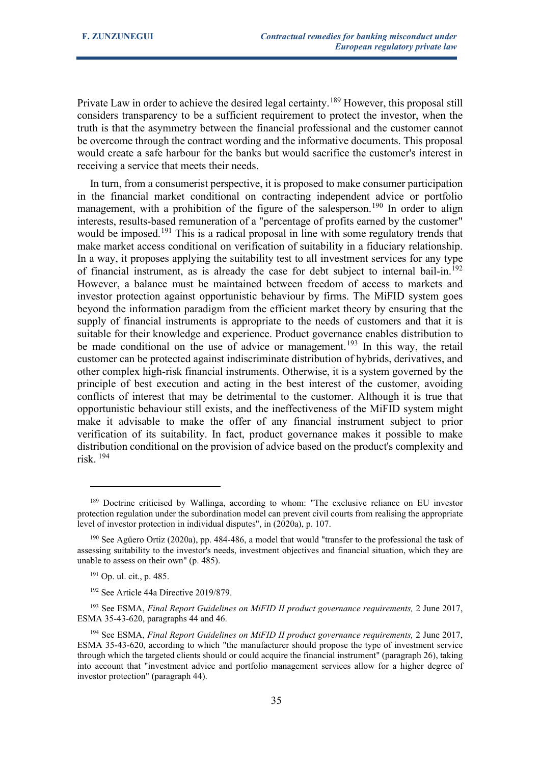Private Law in order to achieve the desired legal certainty.<sup>[189](#page-34-0)</sup> However, this proposal still considers transparency to be a sufficient requirement to protect the investor, when the truth is that the asymmetry between the financial professional and the customer cannot be overcome through the contract wording and the informative documents. This proposal would create a safe harbour for the banks but would sacrifice the customer's interest in receiving a service that meets their needs.

In turn, from a consumerist perspective, it is proposed to make consumer participation in the financial market conditional on contracting independent advice or portfolio management, with a prohibition of the figure of the salesperson.<sup>[190](#page-34-1)</sup> In order to align interests, results-based remuneration of a "percentage of profits earned by the customer" would be imposed.<sup>[191](#page-34-2)</sup> This is a radical proposal in line with some regulatory trends that make market access conditional on verification of suitability in a fiduciary relationship. In a way, it proposes applying the suitability test to all investment services for any type of financial instrument, as is already the case for debt subject to internal bail-in.<sup>[192](#page-34-3)</sup> However, a balance must be maintained between freedom of access to markets and investor protection against opportunistic behaviour by firms. The MiFID system goes beyond the information paradigm from the efficient market theory by ensuring that the supply of financial instruments is appropriate to the needs of customers and that it is suitable for their knowledge and experience. Product governance enables distribution to be made conditional on the use of advice or management.<sup>[193](#page-34-4)</sup> In this way, the retail customer can be protected against indiscriminate distribution of hybrids, derivatives, and other complex high-risk financial instruments. Otherwise, it is a system governed by the principle of best execution and acting in the best interest of the customer, avoiding conflicts of interest that may be detrimental to the customer. Although it is true that opportunistic behaviour still exists, and the ineffectiveness of the MiFID system might make it advisable to make the offer of any financial instrument subject to prior verification of its suitability. In fact, product governance makes it possible to make distribution conditional on the provision of advice based on the product's complexity and risk. [194](#page-34-5)

<span id="page-34-0"></span><sup>&</sup>lt;sup>189</sup> Doctrine criticised by Wallinga, according to whom: "The exclusive reliance on EU investor protection regulation under the subordination model can prevent civil courts from realising the appropriate level of investor protection in individual disputes", in (2020a), p. 107.

<span id="page-34-1"></span><sup>190</sup> See Agüero Ortiz (2020a), pp. 484-486, a model that would "transfer to the professional the task of assessing suitability to the investor's needs, investment objectives and financial situation, which they are unable to assess on their own" (p. 485).

<sup>191</sup> Op. ul. cit., p. 485.

<sup>&</sup>lt;sup>192</sup> See Article 44a Directive 2019/879.

<span id="page-34-4"></span><span id="page-34-3"></span><span id="page-34-2"></span><sup>&</sup>lt;sup>193</sup> See ESMA, *Final Report Guidelines on MiFID II product governance requirements*, 2 June 2017, ESMA 35-43-620, paragraphs 44 and 46.

<span id="page-34-5"></span><sup>&</sup>lt;sup>194</sup> See ESMA, *Final Report Guidelines on MiFID II product governance requirements*, 2 June 2017, ESMA 35-43-620, according to which "the manufacturer should propose the type of investment service through which the targeted clients should or could acquire the financial instrument" (paragraph 26), taking into account that "investment advice and portfolio management services allow for a higher degree of investor protection" (paragraph 44).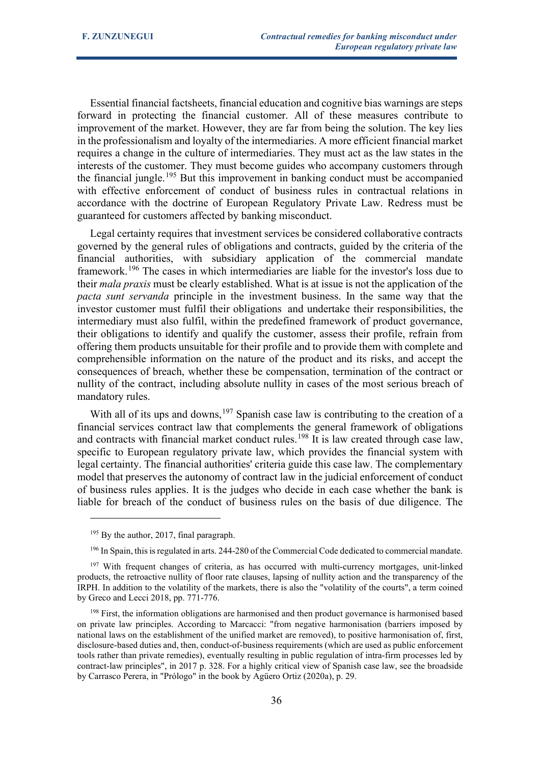Essential financial factsheets, financial education and cognitive bias warnings are steps forward in protecting the financial customer. All of these measures contribute to improvement of the market. However, they are far from being the solution. The key lies in the professionalism and loyalty of the intermediaries. A more efficient financial market requires a change in the culture of intermediaries. They must act as the law states in the interests of the customer. They must become guides who accompany customers through the financial jungle.<sup>[195](#page-35-0)</sup> But this improvement in banking conduct must be accompanied with effective enforcement of conduct of business rules in contractual relations in accordance with the doctrine of European Regulatory Private Law. Redress must be guaranteed for customers affected by banking misconduct.

Legal certainty requires that investment services be considered collaborative contracts governed by the general rules of obligations and contracts, guided by the criteria of the financial authorities, with subsidiary application of the commercial mandate framework.<sup>[196](#page-35-1)</sup> The cases in which intermediaries are liable for the investor's loss due to their *mala praxis* must be clearly established. What is at issue is not the application of the *pacta sunt servanda* principle in the investment business. In the same way that the investor customer must fulfil their obligations and undertake their responsibilities, the intermediary must also fulfil, within the predefined framework of product governance, their obligations to identify and qualify the customer, assess their profile, refrain from offering them products unsuitable for their profile and to provide them with complete and comprehensible information on the nature of the product and its risks, and accept the consequences of breach, whether these be compensation, termination of the contract or nullity of the contract, including absolute nullity in cases of the most serious breach of mandatory rules.

With all of its ups and downs,  $197$  Spanish case law is contributing to the creation of a financial services contract law that complements the general framework of obligations and contracts with financial market conduct rules.<sup>[198](#page-35-3)</sup> It is law created through case law, specific to European regulatory private law, which provides the financial system with legal certainty. The financial authorities' criteria guide this case law. The complementary model that preserves the autonomy of contract law in the judicial enforcement of conduct of business rules applies. It is the judges who decide in each case whether the bank is liable for breach of the conduct of business rules on the basis of due diligence. The

<sup>&</sup>lt;sup>195</sup> By the author, 2017, final paragraph.

<sup>&</sup>lt;sup>196</sup> In Spain, this is regulated in arts. 244-280 of the Commercial Code dedicated to commercial mandate.

<span id="page-35-2"></span><span id="page-35-1"></span><span id="page-35-0"></span><sup>&</sup>lt;sup>197</sup> With frequent changes of criteria, as has occurred with multi-currency mortgages, unit-linked products, the retroactive nullity of floor rate clauses, lapsing of nullity action and the transparency of the IRPH. In addition to the volatility of the markets, there is also the "volatility of the courts", a term coined by Greco and Lecci 2018, pp. 771-776.

<span id="page-35-3"></span><sup>&</sup>lt;sup>198</sup> First, the information obligations are harmonised and then product governance is harmonised based on private law principles. According to Marcacci: "from negative harmonisation (barriers imposed by national laws on the establishment of the unified market are removed), to positive harmonisation of, first, disclosure-based duties and, then, conduct-of-business requirements (which are used as public enforcement tools rather than private remedies), eventually resulting in public regulation of intra-firm processes led by contract-law principles", in 2017 p. 328. For a highly critical view of Spanish case law, see the broadside by Carrasco Perera, in "Prólogo" in the book by Agüero Ortiz (2020a), p. 29.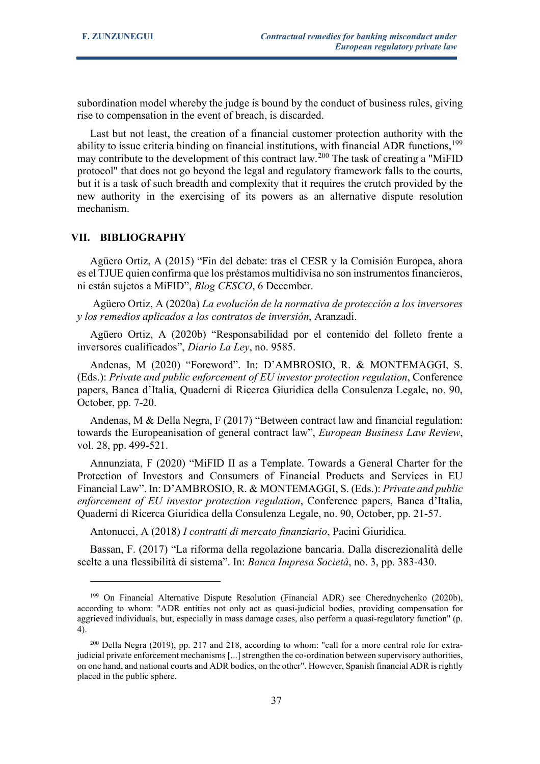subordination model whereby the judge is bound by the conduct of business rules, giving rise to compensation in the event of breach, is discarded.

Last but not least, the creation of a financial customer protection authority with the ability to issue criteria binding on financial institutions, with financial ADR functions,<sup>[199](#page-36-0)</sup> may contribute to the development of this contract law.[200](#page-36-1) The task of creating a "MiFID protocol" that does not go beyond the legal and regulatory framework falls to the courts, but it is a task of such breadth and complexity that it requires the crutch provided by the new authority in the exercising of its powers as an alternative dispute resolution mechanism.

# **VII. BIBLIOGRAPHY**

Agüero Ortiz, A (2015) "Fin del debate: tras el CESR y la Comisión Europea, ahora es el TJUE quien confirma que los préstamos multidivisa no son instrumentos financieros, ni están sujetos a MiFID", *Blog CESCO*, 6 December.

Agüero Ortiz, A (2020a) *La evolución de la normativa de protección a los inversores y los remedios aplicados a los contratos de inversión*, Aranzadi.

Agüero Ortiz, A (2020b) "Responsabilidad por el contenido del folleto frente a inversores cualificados", *Diario La Ley*, no. 9585.

Andenas, M (2020) "Foreword". In: D'AMBROSIO, R. & MONTEMAGGI, S. (Eds.): *Private and public enforcement of EU investor protection regulation*, Conference papers, Banca d'Italia, Quaderni di Ricerca Giuridica della Consulenza Legale, no. 90, October, pp. 7-20.

Andenas, M & Della Negra, F (2017) "Between contract law and financial regulation: towards the Europeanisation of general contract law", *European Business Law Review*, vol. 28, pp. 499-521.

Annunziata, F (2020) "MiFID II as a Template. Towards a General Charter for the Protection of Investors and Consumers of Financial Products and Services in EU Financial Law". In: D'AMBROSIO, R. & MONTEMAGGI, S. (Eds.): *Private and public enforcement of EU investor protection regulation*, Conference papers, Banca d'Italia, Quaderni di Ricerca Giuridica della Consulenza Legale, no. 90, October, pp. 21-57.

Antonucci, A (2018) *I contratti di mercato finanziario*, Pacini Giuridica.

Bassan, F. (2017) "La riforma della regolazione bancaria. Dalla discrezionalità delle scelte a una flessibilità di sistema". In: *Banca Impresa Società*, no. 3, pp. 383-430.

<span id="page-36-0"></span><sup>199</sup> On Financial Alternative Dispute Resolution (Financial ADR) see Cherednychenko (2020b), according to whom: "ADR entities not only act as quasi-judicial bodies, providing compensation for aggrieved individuals, but, especially in mass damage cases, also perform a quasi-regulatory function" (p. 4).

<span id="page-36-1"></span><sup>200</sup> Della Negra (2019), pp. 217 and 218, according to whom: "call for a more central role for extrajudicial private enforcement mechanisms [...] strengthen the co-ordination between supervisory authorities, on one hand, and national courts and ADR bodies, on the other". However, Spanish financial ADR is rightly placed in the public sphere.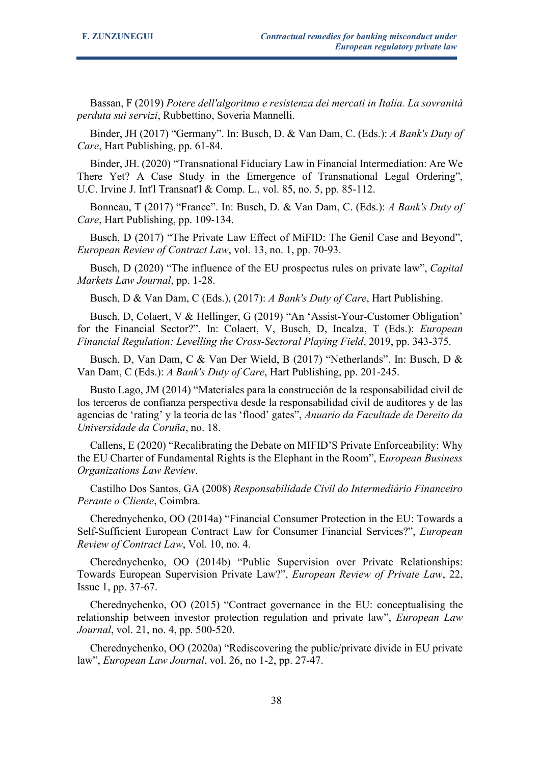Bassan, F (2019) *Potere dell'algoritmo e resistenza dei mercati in Italia. La sovranità perduta sui servizi*, Rubbettino, Soveria Mannelli.

Binder, JH (2017) "Germany". In: Busch, D. & Van Dam, C. (Eds.): *A Bank's Duty of Care*, Hart Publishing, pp. 61-84.

Binder, JH. (2020) "Transnational Fiduciary Law in Financial Intermediation: Are We There Yet? A Case Study in the Emergence of Transnational Legal Ordering", U.C. Irvine J. Int'l Transnat'l & Comp. L., vol. 85, no. 5, pp. 85-112.

Bonneau, T (2017) "France". In: Busch, D. & Van Dam, C. (Eds.): *A Bank's Duty of Care*, Hart Publishing, pp. 109-134.

Busch, D (2017) "The Private Law Effect of MiFID: The Genil Case and Beyond", *European Review of Contract Law*, vol. 13, no. 1, pp. 70-93.

Busch, D (2020) "The influence of the EU prospectus rules on private law", *Capital Markets Law Journal*, pp. 1-28.

Busch, D & Van Dam, C (Eds.), (2017): *A Bank's Duty of Care*, Hart Publishing.

Busch, D, Colaert, V & Hellinger, G (2019) "An 'Assist-Your-Customer Obligation' for the Financial Sector?". In: Colaert, V, Busch, D, Incalza, T (Eds.): *European Financial Regulation: Levelling the Cross-Sectoral Playing Field*, 2019, pp. 343-375.

Busch, D, Van Dam, C & Van Der Wield, B (2017) "Netherlands". In: Busch, D & Van Dam, C (Eds.): *A Bank's Duty of Care*, Hart Publishing, pp. 201-245.

Busto Lago, JM (2014) "Materiales para la construcción de la responsabilidad civil de los terceros de confianza perspectiva desde la responsabilidad civil de auditores y de las agencias de 'rating' y la teoría de las 'flood' gates", *Anuario da Facultade de Dereito da Universidade da Coruña*, no. 18.

Callens, E (2020) "Recalibrating the Debate on MIFID'S Private Enforceability: Why the EU Charter of Fundamental Rights is the Elephant in the Room", E*uropean Business Organizations Law Review*.

Castilho Dos Santos, GA (2008) *Responsabilidade Civil do Intermediário Financeiro Perante o Cliente*, Coimbra.

Cherednychenko, OO (2014a) "Financial Consumer Protection in the EU: Towards a Self-Sufficient European Contract Law for Consumer Financial Services?", *European Review of Contract Law*, Vol. 10, no. 4.

Cherednychenko, OO (2014b) "Public Supervision over Private Relationships: Towards European Supervision Private Law?", *European Review of Private Law*, 22, Issue 1, pp. 37-67.

Cherednychenko, OO (2015) "Contract governance in the EU: conceptualising the relationship between investor protection regulation and private law", *European Law Journal*, vol. 21, no. 4, pp. 500-520.

Cherednychenko, OO (2020a) "Rediscovering the public/private divide in EU private law", *European Law Journal*, vol. 26, no 1-2, pp. 27-47.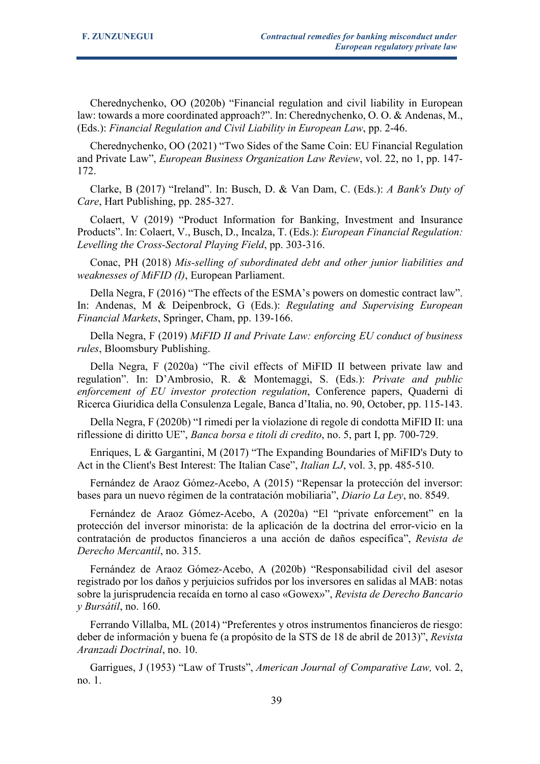Cherednychenko, OO (2020b) "Financial regulation and civil liability in European law: towards a more coordinated approach?". In: Cherednychenko, O. O. & Andenas, M., (Eds.): *Financial Regulation and Civil Liability in European Law*, pp. 2-46.

Cherednychenko, OO (2021) "Two Sides of the Same Coin: EU Financial Regulation and Private Law", *European Business Organization Law Review*, vol. 22, no 1, pp. 147- 172.

Clarke, B (2017) "Ireland". In: Busch, D. & Van Dam, C. (Eds.): *A Bank's Duty of Care*, Hart Publishing, pp. 285-327.

Colaert, V (2019) "Product Information for Banking, Investment and Insurance Products". In: Colaert, V., Busch, D., Incalza, T. (Eds.): *European Financial Regulation: Levelling the Cross-Sectoral Playing Field*, pp. 303-316.

Conac, PH (2018) *Mis-selling of subordinated debt and other junior liabilities and weaknesses of MiFID (I)*, European Parliament.

Della Negra, F (2016) "The effects of the ESMA's powers on domestic contract law". In: Andenas, M & Deipenbrock, G (Eds.): *Regulating and Supervising European Financial Markets*, Springer, Cham, pp. 139-166.

Della Negra, F (2019) *MiFID II and Private Law: enforcing EU conduct of business rules*, Bloomsbury Publishing.

Della Negra, F (2020a) "The civil effects of MiFID II between private law and regulation". In: D'Ambrosio, R. & Montemaggi, S. (Eds.): *Private and public enforcement of EU investor protection regulation*, Conference papers, Quaderni di Ricerca Giuridica della Consulenza Legale, Banca d'Italia, no. 90, October, pp. 115-143.

Della Negra, F (2020b) "I rimedi per la violazione di regole di condotta MiFID II: una riflessione di diritto UE", *Banca borsa e titoli di credito*, no. 5, part I, pp. 700-729.

Enriques, L & Gargantini, M (2017) "The Expanding Boundaries of MiFID's Duty to Act in the Client's Best Interest: The Italian Case", *Italian LJ*, vol. 3, pp. 485-510.

Fernández de Araoz Gómez-Acebo, A (2015) "Repensar la protección del inversor: bases para un nuevo régimen de la contratación mobiliaria", *Diario La Ley*, no. 8549.

Fernández de Araoz Gómez-Acebo, A (2020a) "El "private enforcement" en la protección del inversor minorista: de la aplicación de la doctrina del error-vicio en la contratación de productos financieros a una acción de daños específica", *Revista de Derecho Mercantil*, no. 315.

Fernández de Araoz Gómez-Acebo, A (2020b) "Responsabilidad civil del asesor registrado por los daños y perjuicios sufridos por los inversores en salidas al MAB: notas sobre la jurisprudencia recaída en torno al caso «Gowex»", *Revista de Derecho Bancario y Bursátil*, no. 160.

Ferrando Villalba, ML (2014) "Preferentes y otros instrumentos financieros de riesgo: deber de información y buena fe (a propósito de la STS de 18 de abril de 2013)", *Revista Aranzadi Doctrinal*, no. 10.

Garrigues, J (1953) "Law of Trusts", *American Journal of Comparative Law,* vol. 2, no. 1.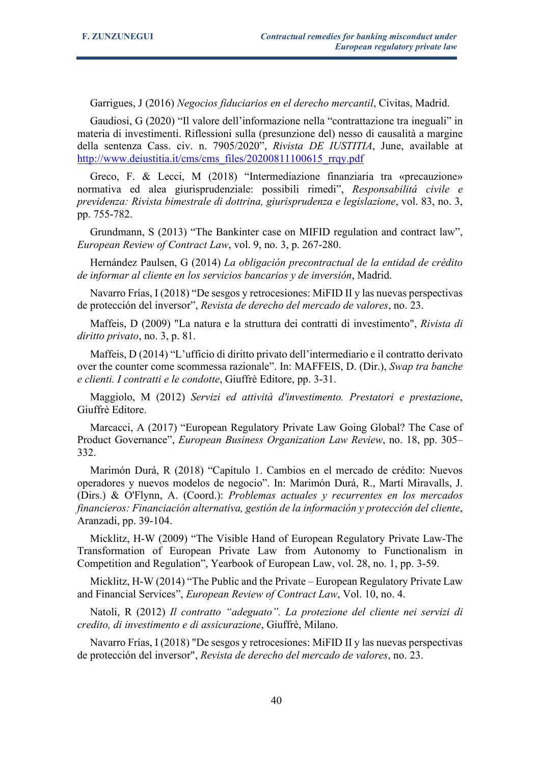Garrigues, J (2016) *Negocios fiduciarios en el derecho mercantil*, Civitas, Madrid.

Gaudiosi, G (2020) "Il valore dell'informazione nella "contrattazione tra ineguali" in materia di investimenti. Riflessioni sulla (presunzione del) nesso di causalità a margine della sentenza Cass. civ. n. 7905/2020", *Rivista DE IUSTITIA*, June, available at [http://www.deiustitia.it/cms/cms\\_files/20200811100615\\_rrqy.pdf](http://www.deiustitia.it/cms/cms_files/20200811100615_rrqy.pdf)

Greco, F. & Lecci, M (2018) "Intermediazione finanziaria tra «precauzione» normativa ed alea giurisprudenziale: possibili rimedi", *Responsabilitá civile e previdenza: Rivista bimestrale di dottrina, giurisprudenza e legislazione*, vol. 83, no. 3, pp. 755-782.

Grundmann, S (2013) "The Bankinter case on MIFID regulation and contract law", *European Review of Contract Law*, vol. 9, no. 3, p. 267-280.

Hernández Paulsen, G (2014) *La obligación precontractual de la entidad de crédito de informar al cliente en los servicios bancarios y de inversión*, Madrid.

Navarro Frías, I (2018) "De sesgos y retrocesiones: MiFID II y las nuevas perspectivas de protección del inversor", *Revista de derecho del mercado de valores*, no. 23.

Maffeis, D (2009) "La natura e la struttura dei contratti di investimento", *Rivista di diritto privato*, no. 3, p. 81.

Maffeis, D (2014) "L'ufficio di diritto privato dell'intermediario e il contratto derivato over the counter come scommessa razionale". In: MAFFEIS, D. (Dir.), *Swap tra banche e clienti. I contratti e le condotte*, Giuffrè Editore, pp. 3-31.

Maggiolo, M (2012) *Servizi ed attività d'investimento. Prestatori e prestazione*, Giuffrè Editore.

Marcacci, A (2017) "European Regulatory Private Law Going Global? The Case of Product Governance", *European Business Organization Law Review*, no. 18, pp. 305– 332.

Marimón Durá, R (2018) "Capítulo 1. Cambios en el mercado de crédito: Nuevos operadores y nuevos modelos de negocio". In: Marimón Durá, R., Martí Miravalls, J. (Dirs.) & O'Flynn, A. (Coord.): *Problemas actuales y recurrentes en los mercados financieros: Financiación alternativa, gestión de la información y protección del cliente*, Aranzadi, pp. 39-104.

Micklitz, H-W (2009) "The Visible Hand of European Regulatory Private Law-The Transformation of European Private Law from Autonomy to Functionalism in Competition and Regulation", Yearbook of European Law, vol. 28, no. 1, pp. 3-59.

Micklitz, H-W (2014) "The Public and the Private – European Regulatory Private Law and Financial Services", *European Review of Contract Law*, Vol. 10, no. 4.

Natoli, R (2012) *Il contratto "adeguato". La protezione del cliente nei servizi di credito, di investimento e di assicurazione*, Giuffrè, Milano.

Navarro Frías, I (2018) "De sesgos y retrocesiones: MiFID II y las nuevas perspectivas de protección del inversor", *Revista de derecho del mercado de valores*, no. 23.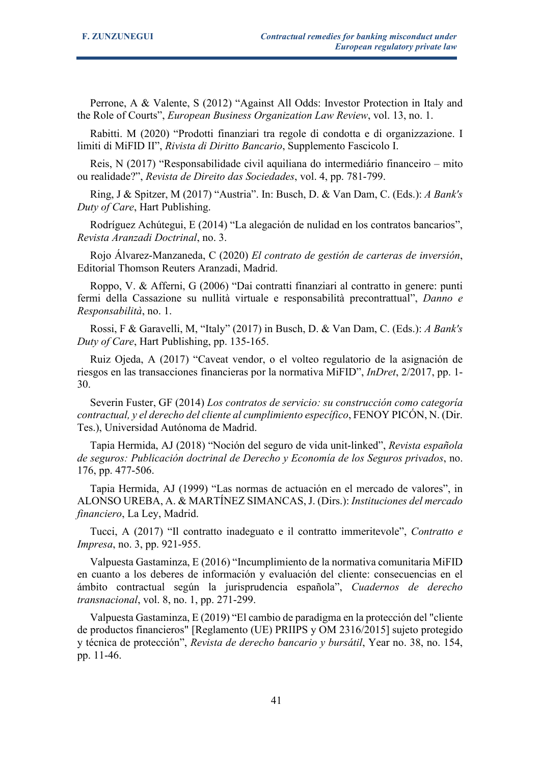Perrone, A & Valente, S (2012) "Against All Odds: Investor Protection in Italy and the Role of Courts", *European Business Organization Law Review*, vol. 13, no. 1.

Rabitti. M (2020) "Prodotti finanziari tra regole di condotta e di organizzazione. I limiti di MiFID II", *Rivista di Diritto Bancario*, Supplemento Fascicolo I.

Reis, N (2017) "Responsabilidade civil aquiliana do intermediário financeiro – mito ou realidade?", *Revista de Direito das Sociedades*, vol. 4, pp. 781-799.

Ring, J & Spitzer, M (2017) "Austria". In: Busch, D. & Van Dam, C. (Eds.): *A Bank's Duty of Care*, Hart Publishing.

Rodríguez Achútegui, E (2014) "La alegación de nulidad en los contratos bancarios", *Revista Aranzadi Doctrinal*, no. 3.

Rojo Álvarez-Manzaneda, C (2020) *El contrato de gestión de carteras de inversión*, Editorial Thomson Reuters Aranzadi, Madrid.

Roppo, V. & Afferni, G (2006) "Dai contratti finanziari al contratto in genere: punti fermi della Cassazione su nullità virtuale e responsabilità precontrattual", *Danno e Responsabilità*, no. 1.

Rossi, F & Garavelli, M, "Italy" (2017) in Busch, D. & Van Dam, C. (Eds.): *A Bank's Duty of Care*, Hart Publishing, pp. 135-165.

Ruiz Ojeda, A (2017) "Caveat vendor, o el volteo regulatorio de la asignación de riesgos en las transacciones financieras por la normativa MiFID", *InDret*, 2/2017, pp. 1- 30.

Severin Fuster, GF (2014) *Los contratos de servicio: su construcción como categoría contractual, y el derecho del cliente al cumplimiento específico*, FENOY PICÓN, N. (Dir. Tes.), Universidad Autónoma de Madrid.

Tapia Hermida, AJ (2018) "Noción del seguro de vida unit-linked", *Revista española de seguros: Publicación doctrinal de Derecho y Economía de los Seguros privados*, no. 176, pp. 477-506.

Tapia Hermida, AJ (1999) "Las normas de actuación en el mercado de valores", in ALONSO UREBA, A. & MARTÍNEZ SIMANCAS, J. (Dirs.): *Instituciones del mercado financiero*, La Ley, Madrid.

Tucci, A (2017) "Il contratto inadeguato e il contratto immeritevole", *Contratto e Impresa*, no. 3, pp. 921-955.

Valpuesta Gastaminza, E (2016) "Incumplimiento de la normativa comunitaria MiFID en cuanto a los deberes de información y evaluación del cliente: consecuencias en el ámbito contractual según la jurisprudencia española", *Cuadernos de derecho transnacional*, vol. 8, no. 1, pp. 271-299.

Valpuesta Gastaminza, E (2019) "El cambio de paradigma en la protección del "cliente de productos financieros" [Reglamento (UE) PRIIPS y OM 2316/2015] sujeto protegido y técnica de protección", *Revista de derecho bancario y bursátil*, Year no. 38, no. 154, pp. 11-46.